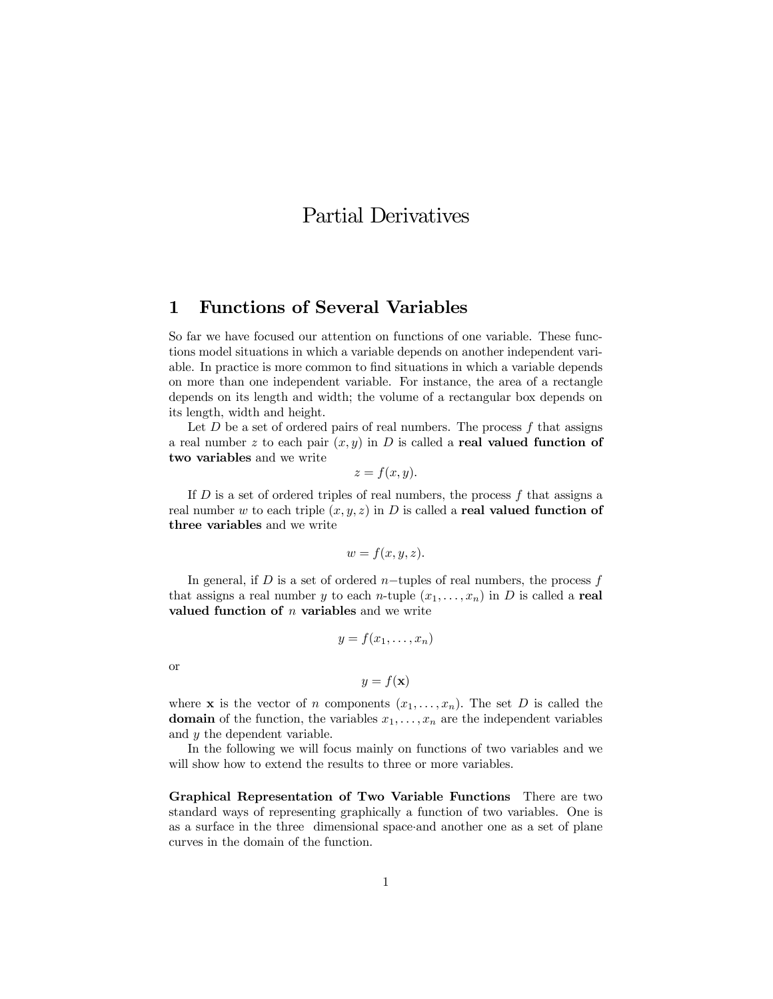# Partial Derivatives

# 1 Functions of Several Variables

So far we have focused our attention on functions of one variable. These functions model situations in which a variable depends on another independent variable. In practice is more common to find situations in which a variable depends on more than one independent variable. For instance, the area of a rectangle depends on its length and width; the volume of a rectangular box depends on its length, width and height.

Let  $D$  be a set of ordered pairs of real numbers. The process  $f$  that assigns a real number z to each pair  $(x, y)$  in D is called a real valued function of two variables and we write

$$
z = f(x, y).
$$

If  $D$  is a set of ordered triples of real numbers, the process  $f$  that assigns a real number w to each triple  $(x, y, z)$  in D is called a real valued function of three variables and we write

$$
w = f(x, y, z).
$$

In general, if D is a set of ordered n–tuples of real numbers, the process  $f$ that assigns a real number y to each n-tuple  $(x_1,...,x_n)$  in D is called a real valued function of  $n$  variables and we write

$$
y = f(x_1, \ldots, x_n)
$$

or

$$
y = f(\mathbf{x})
$$

where **x** is the vector of n components  $(x_1,...,x_n)$ . The set D is called the **domain** of the function, the variables  $x_1, \ldots, x_n$  are the independent variables and y the dependent variable.

In the following we will focus mainly on functions of two variables and we will show how to extend the results to three or more variables.

Graphical Representation of Two Variable Functions There are two standard ways of representing graphically a function of two variables. One is as a surface in the three dimensional space·and another one as a set of plane curves in the domain of the function.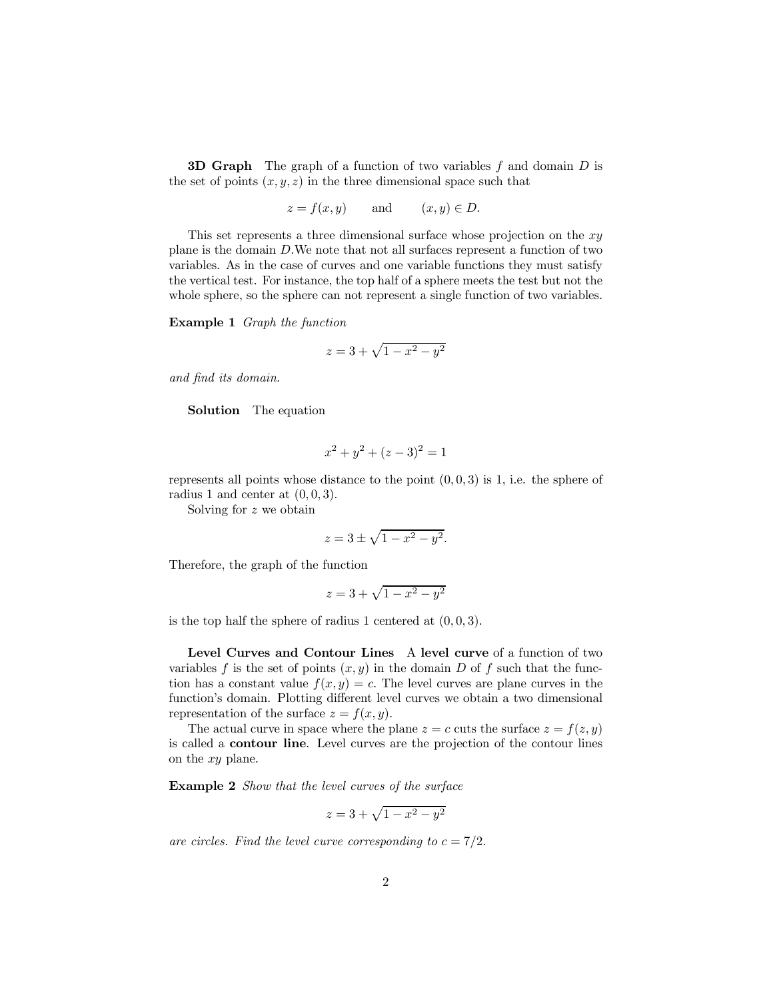**3D Graph** The graph of a function of two variables  $f$  and domain  $D$  is the set of points  $(x, y, z)$  in the three dimensional space such that

$$
z = f(x, y)
$$
 and  $(x, y) \in D$ .

This set represents a three dimensional surface whose projection on the  $xy$ plane is the domain D.We note that not all surfaces represent a function of two variables. As in the case of curves and one variable functions they must satisfy the vertical test. For instance, the top half of a sphere meets the test but not the whole sphere, so the sphere can not represent a single function of two variables.

Example 1 Graph the function

$$
z = 3 + \sqrt{1 - x^2 - y^2}
$$

and find its domain.

Solution The equation

$$
x^2 + y^2 + (z - 3)^2 = 1
$$

represents all points whose distance to the point  $(0, 0, 3)$  is 1, i.e. the sphere of radius 1 and center at  $(0, 0, 3)$ .

Solving for z we obtain

$$
z = 3 \pm \sqrt{1 - x^2 - y^2}.
$$

Therefore, the graph of the function

$$
z = 3 + \sqrt{1 - x^2 - y^2}
$$

is the top half the sphere of radius 1 centered at  $(0, 0, 3)$ .

Level Curves and Contour Lines A level curve of a function of two variables f is the set of points  $(x, y)$  in the domain D of f such that the function has a constant value  $f(x, y) = c$ . The level curves are plane curves in the function's domain. Plotting different level curves we obtain a two dimensional representation of the surface  $z = f(x, y)$ .

The actual curve in space where the plane  $z = c$  cuts the surface  $z = f(z, y)$ is called a contour line. Level curves are the projection of the contour lines on the xy plane.

Example 2 Show that the level curves of the surface

$$
z = 3 + \sqrt{1 - x^2 - y^2}
$$

are circles. Find the level curve corresponding to  $c = 7/2$ .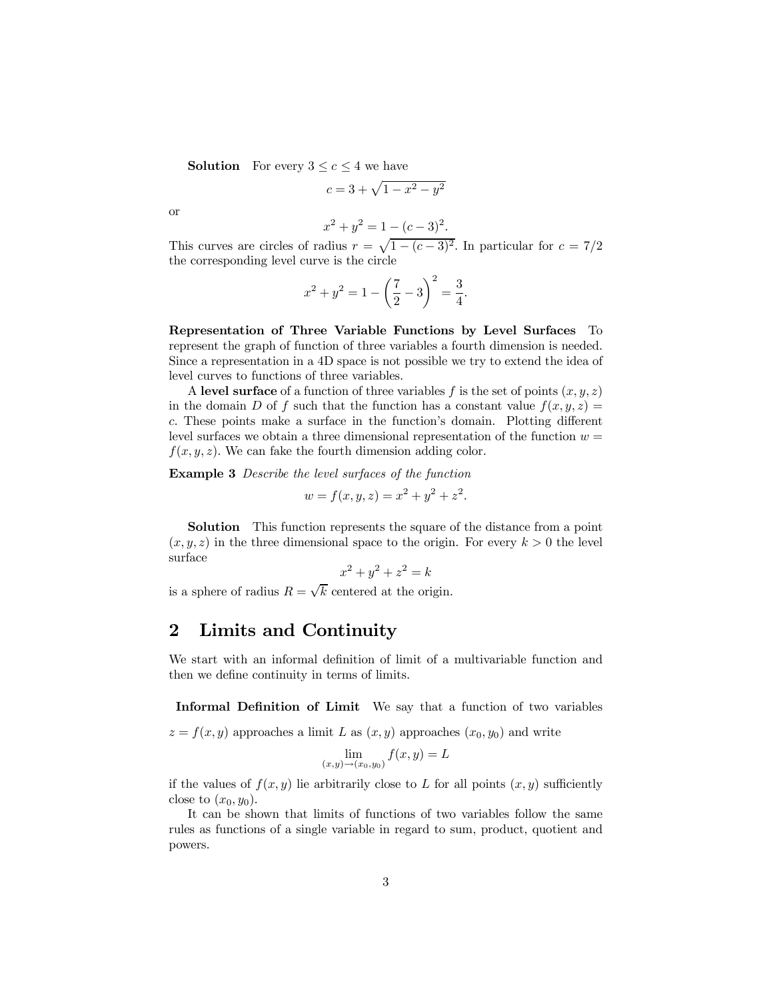**Solution** For every  $3 \leq c \leq 4$  we have

$$
c = 3 + \sqrt{1 - x^2 - y^2}
$$

or

$$
x^2 + y^2 = 1 - (c - 3)^2.
$$

This curves are circles of radius  $r = \sqrt{1 - (c - 3)^2}$ . In particular for  $c = 7/2$ the corresponding level curve is the circle

$$
x^{2} + y^{2} = 1 - \left(\frac{7}{2} - 3\right)^{2} = \frac{3}{4}.
$$

Representation of Three Variable Functions by Level Surfaces To represent the graph of function of three variables a fourth dimension is needed. Since a representation in a 4D space is not possible we try to extend the idea of level curves to functions of three variables.

A level surface of a function of three variables f is the set of points  $(x, y, z)$ in the domain D of f such that the function has a constant value  $f(x, y, z) =$ c. These points make a surface in the function's domain. Plotting different level surfaces we obtain a three dimensional representation of the function  $w =$  $f(x, y, z)$ . We can fake the fourth dimension adding color.

Example 3 Describe the level surfaces of the function

$$
w = f(x, y, z) = x^2 + y^2 + z^2.
$$

Solution This function represents the square of the distance from a point  $(x, y, z)$  in the three dimensional space to the origin. For every  $k > 0$  the level surface

$$
x^2 + y^2 + z^2 = k
$$

is a sphere of radius  $R = \sqrt{k}$  centered at the origin.

# 2 Limits and Continuity

We start with an informal definition of limit of a multivariable function and then we define continuity in terms of limits.

Informal Definition of Limit We say that a function of two variables

 $z = f(x, y)$  approaches a limit L as  $(x, y)$  approaches  $(x_0, y_0)$  and write

$$
\lim_{(x,y)\to(x_0,y_0)} f(x,y) = L
$$

if the values of  $f(x, y)$  lie arbitrarily close to L for all points  $(x, y)$  sufficiently close to  $(x_0, y_0)$ .

It can be shown that limits of functions of two variables follow the same rules as functions of a single variable in regard to sum, product, quotient and powers.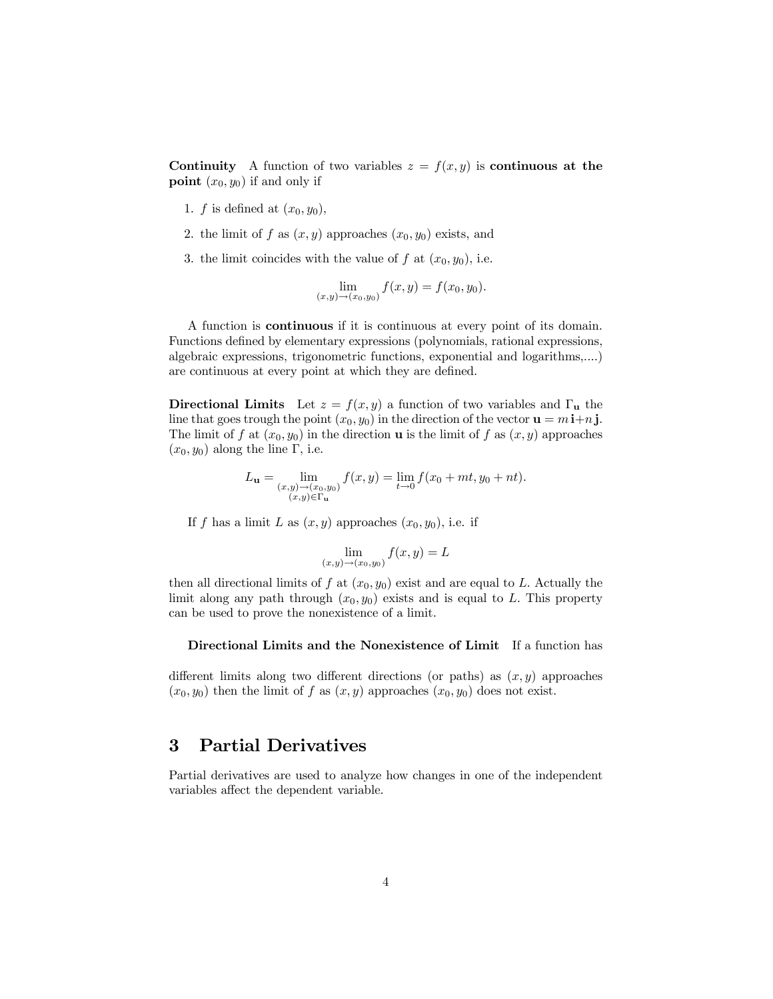Continuity A function of two variables  $z = f(x, y)$  is continuous at the **point**  $(x_0, y_0)$  if and only if

- 1. f is defined at  $(x_0, y_0)$ ,
- 2. the limit of f as  $(x, y)$  approaches  $(x_0, y_0)$  exists, and
- 3. the limit coincides with the value of f at  $(x_0, y_0)$ , i.e.

$$
\lim_{(x,y)\to(x_0,y_0)} f(x,y) = f(x_0,y_0).
$$

A function is continuous if it is continuous at every point of its domain. Functions defined by elementary expressions (polynomials, rational expressions, algebraic expressions, trigonometric functions, exponential and logarithms,....) are continuous at every point at which they are defined.

Directional Limits Let  $z = f(x, y)$  a function of two variables and  $\Gamma_{\mathbf{u}}$  the line that goes trough the point  $(x_0, y_0)$  in the direction of the vector  $\mathbf{u} = m\,\mathbf{i} + n\,\mathbf{j}$ . The limit of f at  $(x_0, y_0)$  in the direction **u** is the limit of f as  $(x, y)$  approaches  $(x_0, y_0)$  along the line Γ, i.e.

$$
L_{\mathbf{u}} = \lim_{\substack{(x,y)\to(x_0,y_0)\\(x,y)\in\Gamma_{\mathbf{u}}}} f(x,y) = \lim_{t\to 0} f(x_0+mt,y_0+nt).
$$

If f has a limit L as  $(x, y)$  approaches  $(x_0, y_0)$ , i.e. if

$$
\lim_{(x,y)\to(x_0,y_0)} f(x,y) = L
$$

then all directional limits of f at  $(x_0, y_0)$  exist and are equal to L. Actually the limit along any path through  $(x_0, y_0)$  exists and is equal to L. This property can be used to prove the nonexistence of a limit.

Directional Limits and the Nonexistence of Limit If a function has

different limits along two different directions (or paths) as  $(x, y)$  approaches  $(x_0, y_0)$  then the limit of f as  $(x, y)$  approaches  $(x_0, y_0)$  does not exist.

### 3 Partial Derivatives

Partial derivatives are used to analyze how changes in one of the independent variables affect the dependent variable.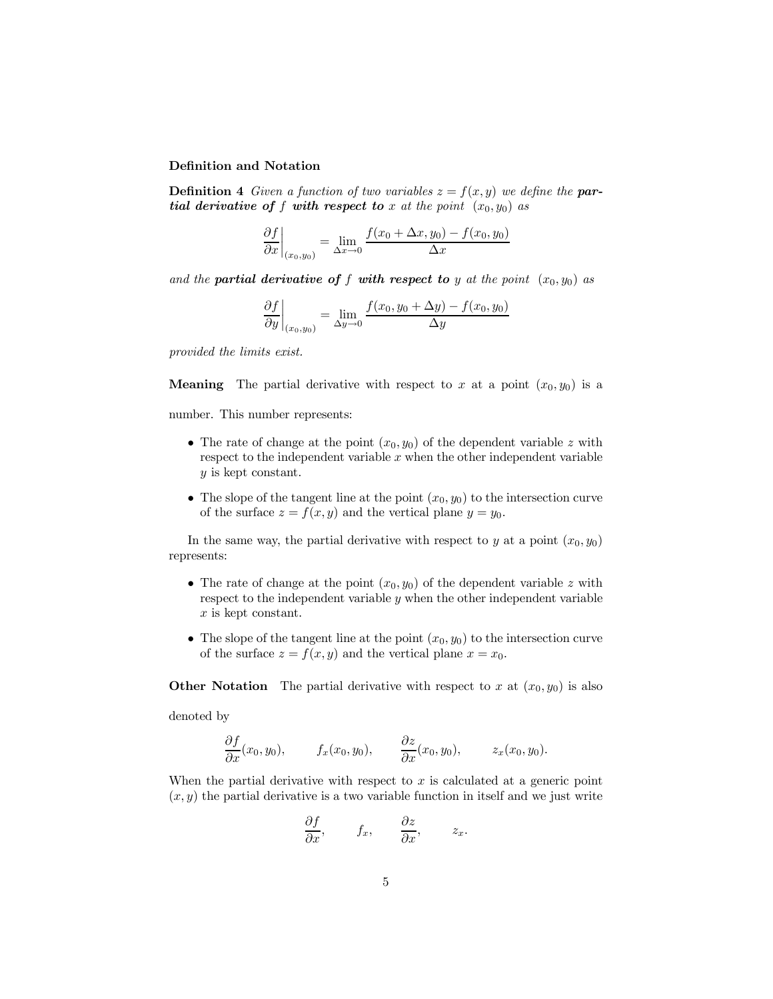#### Definition and Notation

**Definition 4** Given a function of two variables  $z = f(x, y)$  we define the **par**tial derivative of f with respect to x at the point  $(x_0, y_0)$  as

$$
\frac{\partial f}{\partial x}\bigg|_{(x_0,y_0)} = \lim_{\Delta x \to 0} \frac{f(x_0 + \Delta x, y_0) - f(x_0, y_0)}{\Delta x}
$$

and the **partial derivative of f with respect to** y at the point  $(x_0, y_0)$  as

$$
\frac{\partial f}{\partial y}\bigg|_{(x_0,y_0)} = \lim_{\Delta y \to 0} \frac{f(x_0,y_0 + \Delta y) - f(x_0,y_0)}{\Delta y}
$$

provided the limits exist.

**Meaning** The partial derivative with respect to x at a point  $(x_0, y_0)$  is a

number. This number represents:

- The rate of change at the point  $(x_0, y_0)$  of the dependent variable z with respect to the independent variable  $x$  when the other independent variable y is kept constant.
- The slope of the tangent line at the point  $(x_0, y_0)$  to the intersection curve of the surface  $z = f(x, y)$  and the vertical plane  $y = y_0$ .

In the same way, the partial derivative with respect to y at a point  $(x_0, y_0)$ represents:

- The rate of change at the point  $(x_0, y_0)$  of the dependent variable z with respect to the independent variable y when the other independent variable x is kept constant.
- The slope of the tangent line at the point  $(x_0, y_0)$  to the intersection curve of the surface  $z = f(x, y)$  and the vertical plane  $x = x_0$ .

**Other Notation** The partial derivative with respect to x at  $(x_0, y_0)$  is also

denoted by

$$
\frac{\partial f}{\partial x}(x_0, y_0), \qquad f_x(x_0, y_0), \qquad \frac{\partial z}{\partial x}(x_0, y_0), \qquad z_x(x_0, y_0).
$$

When the partial derivative with respect to  $x$  is calculated at a generic point  $(x, y)$  the partial derivative is a two variable function in itself and we just write

$$
\frac{\partial f}{\partial x}, \qquad f_x, \qquad \frac{\partial z}{\partial x}, \qquad z_x.
$$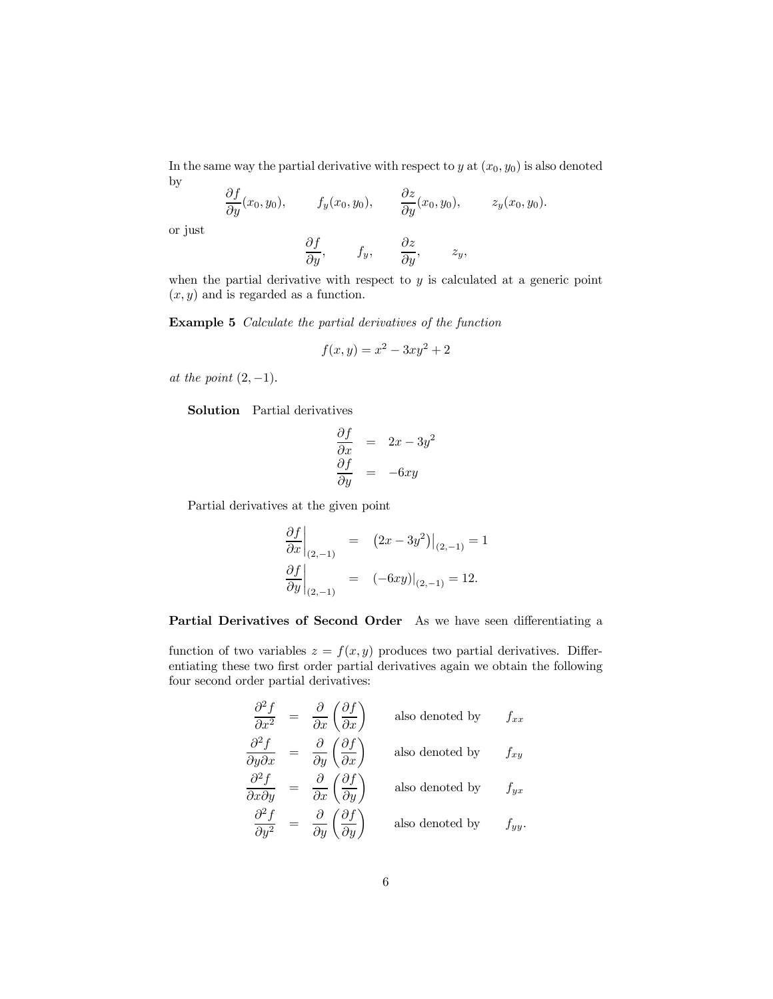In the same way the partial derivative with respect to  $y$  at  $(x_0, y_0)$  is also denoted by

∂f  $\frac{\partial f}{\partial y}(x_0, y_0), \qquad f_y(x_0, y_0), \qquad \frac{\partial z}{\partial y}(x_0, y_0), \qquad z_y(x_0, y_0).$ 

or just

$$
\frac{\partial f}{\partial y}, \qquad f_y, \qquad \frac{\partial z}{\partial y}, \qquad z_y,
$$

when the partial derivative with respect to  $y$  is calculated at a generic point  $(x, y)$  and is regarded as a function.

Example 5 Calculate the partial derivatives of the function

$$
f(x, y) = x^2 - 3xy^2 + 2
$$

at the point  $(2, -1)$ .

Solution Partial derivatives

$$
\begin{array}{rcl}\n\frac{\partial f}{\partial x} & = & 2x - 3y^2 \\
\frac{\partial f}{\partial y} & = & -6xy\n\end{array}
$$

Partial derivatives at the given point

$$
\left. \frac{\partial f}{\partial x} \right|_{(2,-1)} = (2x - 3y^2)|_{(2,-1)} = 1
$$
  

$$
\left. \frac{\partial f}{\partial y} \right|_{(2,-1)} = (-6xy)|_{(2,-1)} = 12.
$$

#### Partial Derivatives of Second Order As we have seen differentiating a

function of two variables  $z = f(x, y)$  produces two partial derivatives. Differentiating these two first order partial derivatives again we obtain the following four second order partial derivatives:

$$
\frac{\partial^2 f}{\partial x^2} = \frac{\partial}{\partial x} \left( \frac{\partial f}{\partial x} \right) \quad \text{also denoted by} \quad f_{xx}
$$
  

$$
\frac{\partial^2 f}{\partial y \partial x} = \frac{\partial}{\partial y} \left( \frac{\partial f}{\partial x} \right) \quad \text{also denoted by} \quad f_{xy}
$$
  

$$
\frac{\partial^2 f}{\partial x \partial y} = \frac{\partial}{\partial x} \left( \frac{\partial f}{\partial y} \right) \quad \text{also denoted by} \quad f_{yx}
$$
  

$$
\frac{\partial^2 f}{\partial y^2} = \frac{\partial}{\partial y} \left( \frac{\partial f}{\partial y} \right) \quad \text{also denoted by} \quad f_{yy}.
$$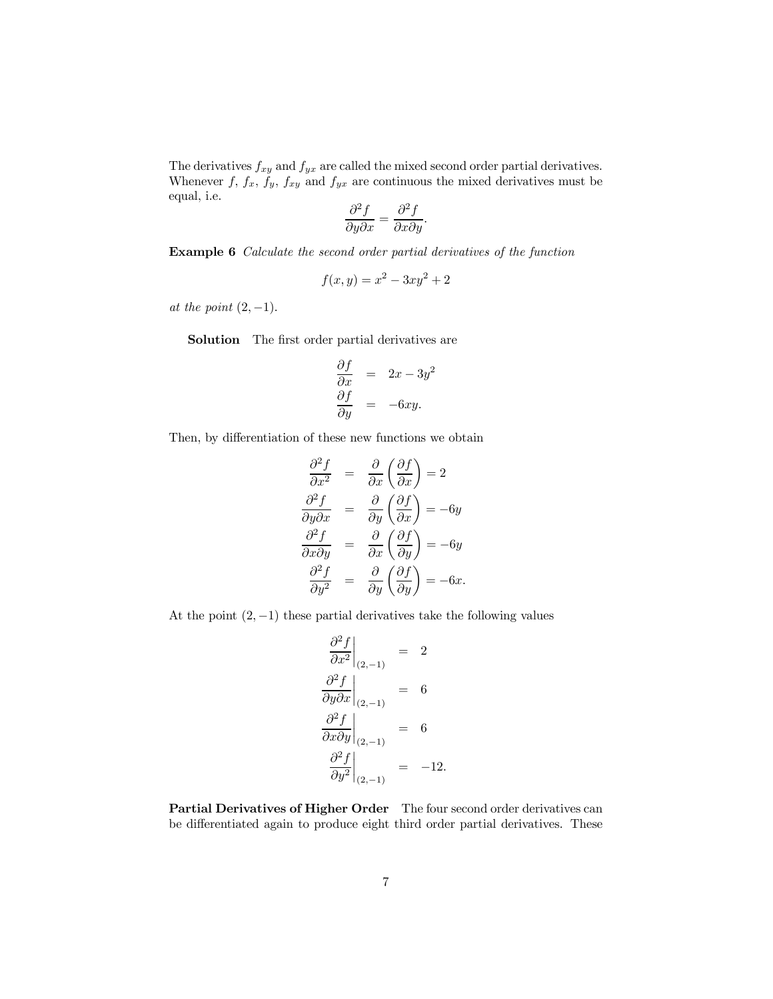The derivatives  $f_{xy}$  and  $f_{yx}$  are called the mixed second order partial derivatives. Whenever  $f, f_x, f_y, f_{xy}$  and  $f_{yx}$  are continuous the mixed derivatives must be equal, i.e.

$$
\frac{\partial^2 f}{\partial y \partial x} = \frac{\partial^2 f}{\partial x \partial y}.
$$

Example 6 Calculate the second order partial derivatives of the function

$$
f(x, y) = x^2 - 3xy^2 + 2
$$

at the point  $(2, -1)$ .

Solution The first order partial derivatives are

$$
\begin{array}{rcl}\n\frac{\partial f}{\partial x} & = & 2x - 3y^2 \\
\frac{\partial f}{\partial y} & = & -6xy.\n\end{array}
$$

Then, by differentiation of these new functions we obtain

$$
\frac{\partial^2 f}{\partial x^2} = \frac{\partial}{\partial x} \left( \frac{\partial f}{\partial x} \right) = 2
$$
  

$$
\frac{\partial^2 f}{\partial y \partial x} = \frac{\partial}{\partial y} \left( \frac{\partial f}{\partial x} \right) = -6y
$$
  

$$
\frac{\partial^2 f}{\partial x \partial y} = \frac{\partial}{\partial x} \left( \frac{\partial f}{\partial y} \right) = -6y
$$
  

$$
\frac{\partial^2 f}{\partial y^2} = \frac{\partial}{\partial y} \left( \frac{\partial f}{\partial y} \right) = -6x.
$$

At the point  $(2, -1)$  these partial derivatives take the following values

$$
\frac{\partial^2 f}{\partial x^2}\Big|_{(2,-1)} = 2
$$
  

$$
\frac{\partial^2 f}{\partial y \partial x}\Big|_{(2,-1)} = 6
$$
  

$$
\frac{\partial^2 f}{\partial x \partial y}\Big|_{(2,-1)} = 6
$$
  

$$
\frac{\partial^2 f}{\partial y^2}\Big|_{(2,-1)} = -12.
$$

Partial Derivatives of Higher Order The four second order derivatives can be differentiated again to produce eight third order partial derivatives. These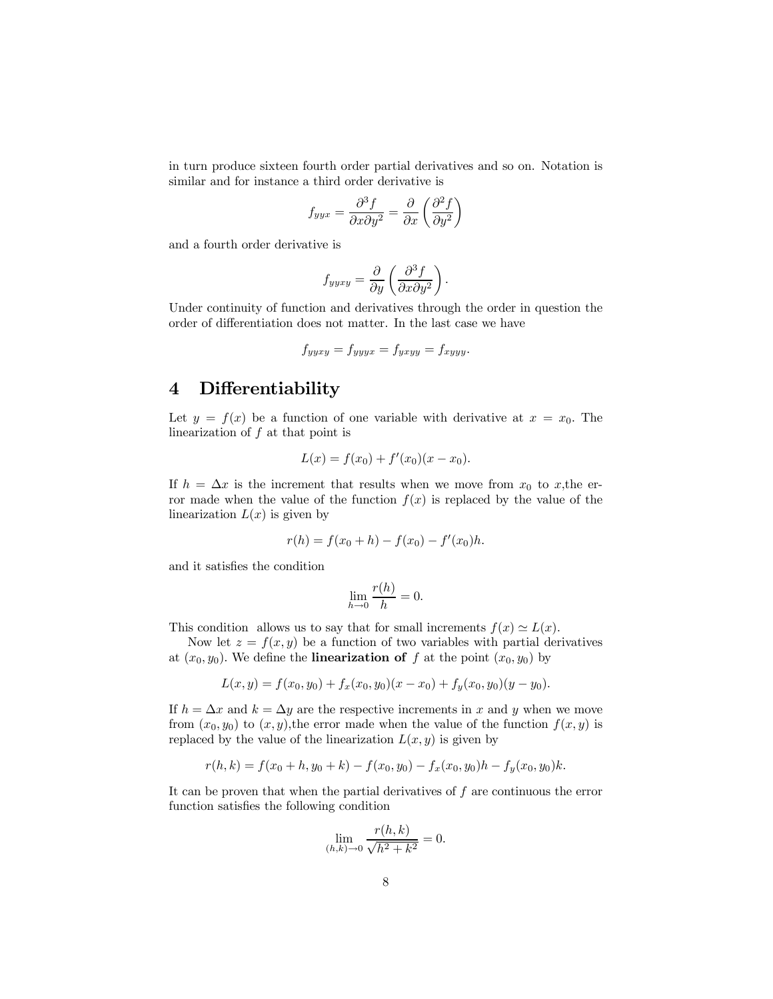in turn produce sixteen fourth order partial derivatives and so on. Notation is similar and for instance a third order derivative is

$$
f_{yyx} = \frac{\partial^3 f}{\partial x \partial y^2} = \frac{\partial}{\partial x} \left( \frac{\partial^2 f}{\partial y^2} \right)
$$

and a fourth order derivative is

$$
f_{yyxy} = \frac{\partial}{\partial y} \left( \frac{\partial^3 f}{\partial x \partial y^2} \right).
$$

Under continuity of function and derivatives through the order in question the order of differentiation does not matter. In the last case we have

$$
f_{yyxy} = f_{yyyx} = f_{yxyy} = f_{xyyy}.
$$

### 4 Differentiability

Let  $y = f(x)$  be a function of one variable with derivative at  $x = x_0$ . The linearization of f at that point is

$$
L(x) = f(x_0) + f'(x_0)(x - x_0).
$$

If  $h = \Delta x$  is the increment that results when we move from  $x_0$  to x, the error made when the value of the function  $f(x)$  is replaced by the value of the linearization  $L(x)$  is given by

$$
r(h) = f(x_0 + h) - f(x_0) - f'(x_0)h.
$$

and it satisfies the condition

$$
\lim_{h \to 0} \frac{r(h)}{h} = 0.
$$

This condition allows us to say that for small increments  $f(x) \simeq L(x)$ .

Now let  $z = f(x, y)$  be a function of two variables with partial derivatives at  $(x_0, y_0)$ . We define the **linearization of** f at the point  $(x_0, y_0)$  by

$$
L(x,y) = f(x_0, y_0) + f_x(x_0, y_0)(x - x_0) + f_y(x_0, y_0)(y - y_0).
$$

If  $h = \Delta x$  and  $k = \Delta y$  are the respective increments in x and y when we move from  $(x_0, y_0)$  to  $(x, y)$ , the error made when the value of the function  $f(x, y)$  is replaced by the value of the linearization  $L(x, y)$  is given by

$$
r(h,k) = f(x_0 + h, y_0 + k) - f(x_0, y_0) - f_x(x_0, y_0)h - f_y(x_0, y_0)k.
$$

It can be proven that when the partial derivatives of  $f$  are continuous the error function satisfies the following condition

$$
\lim_{(h,k)\to 0} \frac{r(h,k)}{\sqrt{h^2 + k^2}} = 0.
$$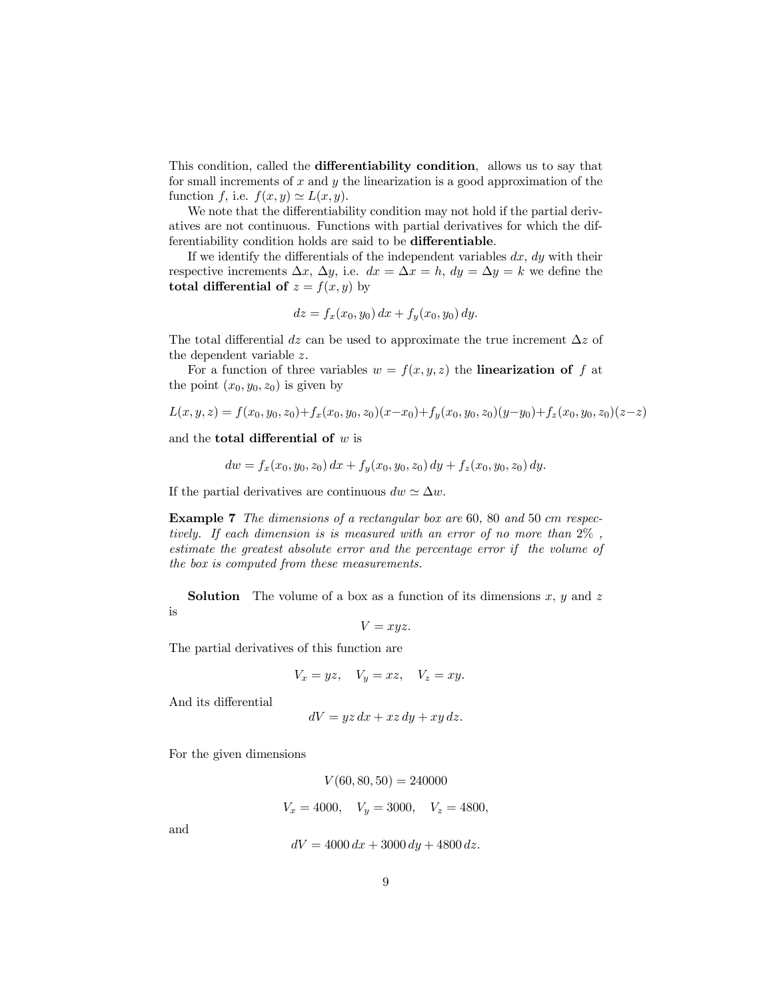This condition, called the differentiability condition, allows us to say that for small increments of  $x$  and  $y$  the linearization is a good approximation of the function f, i.e.  $f(x, y) \simeq L(x, y)$ .

We note that the differentiability condition may not hold if the partial derivatives are not continuous. Functions with partial derivatives for which the differentiability condition holds are said to be differentiable.

If we identify the differentials of the independent variables  $dx$ ,  $dy$  with their respective increments  $\Delta x$ ,  $\Delta y$ , i.e.  $dx = \Delta x = h$ ,  $dy = \Delta y = k$  we define the total differential of  $z = f(x, y)$  by

$$
dz = f_x(x_0, y_0) dx + f_y(x_0, y_0) dy.
$$

The total differential dz can be used to approximate the true increment  $\Delta z$  of the dependent variable z.

For a function of three variables  $w = f(x, y, z)$  the **linearization of** f at the point  $(x_0, y_0, z_0)$  is given by

$$
L(x, y, z) = f(x_0, y_0, z_0) + f_x(x_0, y_0, z_0)(x - x_0) + f_y(x_0, y_0, z_0)(y - y_0) + f_z(x_0, y_0, z_0)(z - z)
$$

and the **total differential of**  $w$  is

$$
dw = f_x(x_0, y_0, z_0) dx + f_y(x_0, y_0, z_0) dy + f_z(x_0, y_0, z_0) dy.
$$

If the partial derivatives are continuous  $dw \simeq \Delta w$ .

Example 7 The dimensions of a rectangular box are 60, 80 and 50 cm respectively. If each dimension is is measured with an error of no more than 2% , estimate the greatest absolute error and the percentage error if the volume of the box is computed from these measurements.

**Solution** The volume of a box as a function of its dimensions  $x, y$  and z is

$$
V=xyz.
$$

The partial derivatives of this function are

$$
V_x = yz, \quad V_y = xz, \quad V_z = xy.
$$

And its differential

$$
dV = yz\,dx + xz\,dy + xy\,dz.
$$

For the given dimensions

$$
V(60, 80, 50) = 240000
$$
  

$$
V_x = 4000, \quad V_y = 3000, \quad V_z = 4800,
$$

and

$$
dV = 4000 \, dx + 3000 \, dy + 4800 \, dz.
$$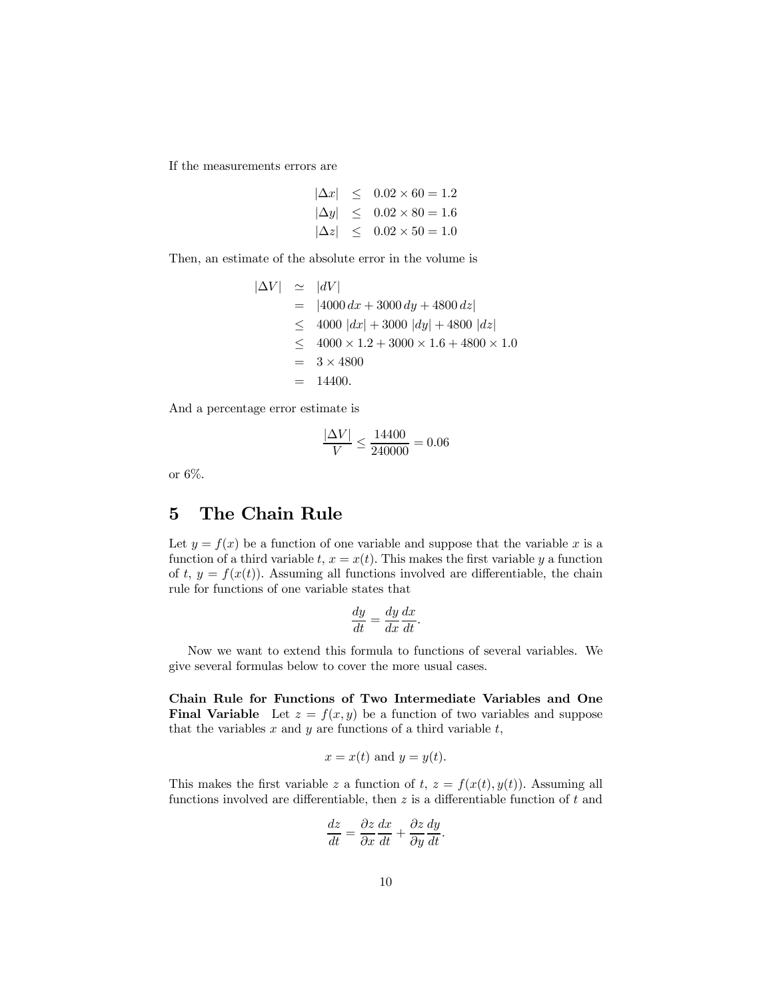If the measurements errors are

$$
|\Delta x| \le 0.02 \times 60 = 1.2
$$
  
\n
$$
|\Delta y| \le 0.02 \times 80 = 1.6
$$
  
\n
$$
|\Delta z| \le 0.02 \times 50 = 1.0
$$

Then, an estimate of the absolute error in the volume is

$$
|\Delta V| \approx |dV|
$$
  
= |4000 dx + 3000 dy + 4800 dz|  

$$
\leq 4000 |dx| + 3000 |dy| + 4800 |dz|
$$
  

$$
\leq 4000 \times 1.2 + 3000 \times 1.6 + 4800 \times 1.0
$$
  
= 3 × 4800  
= 14400.

And a percentage error estimate is

$$
\frac{|\Delta V|}{V} \le \frac{14400}{240000} = 0.06
$$

or 6%.

# 5 The Chain Rule

Let  $y = f(x)$  be a function of one variable and suppose that the variable x is a function of a third variable t,  $x = x(t)$ . This makes the first variable y a function of t,  $y = f(x(t))$ . Assuming all functions involved are differentiable, the chain rule for functions of one variable states that

$$
\frac{dy}{dt} = \frac{dy}{dx}\frac{dx}{dt}.
$$

Now we want to extend this formula to functions of several variables. We give several formulas below to cover the more usual cases.

Chain Rule for Functions of Two Intermediate Variables and One **Final Variable** Let  $z = f(x, y)$  be a function of two variables and suppose that the variables  $x$  and  $y$  are functions of a third variable  $t$ ,

$$
x = x(t)
$$
 and  $y = y(t)$ .

This makes the first variable z a function of t,  $z = f(x(t), y(t))$ . Assuming all functions involved are differentiable, then  $z$  is a differentiable function of  $t$  and

$$
\frac{dz}{dt} = \frac{\partial z}{\partial x}\frac{dx}{dt} + \frac{\partial z}{\partial y}\frac{dy}{dt}.
$$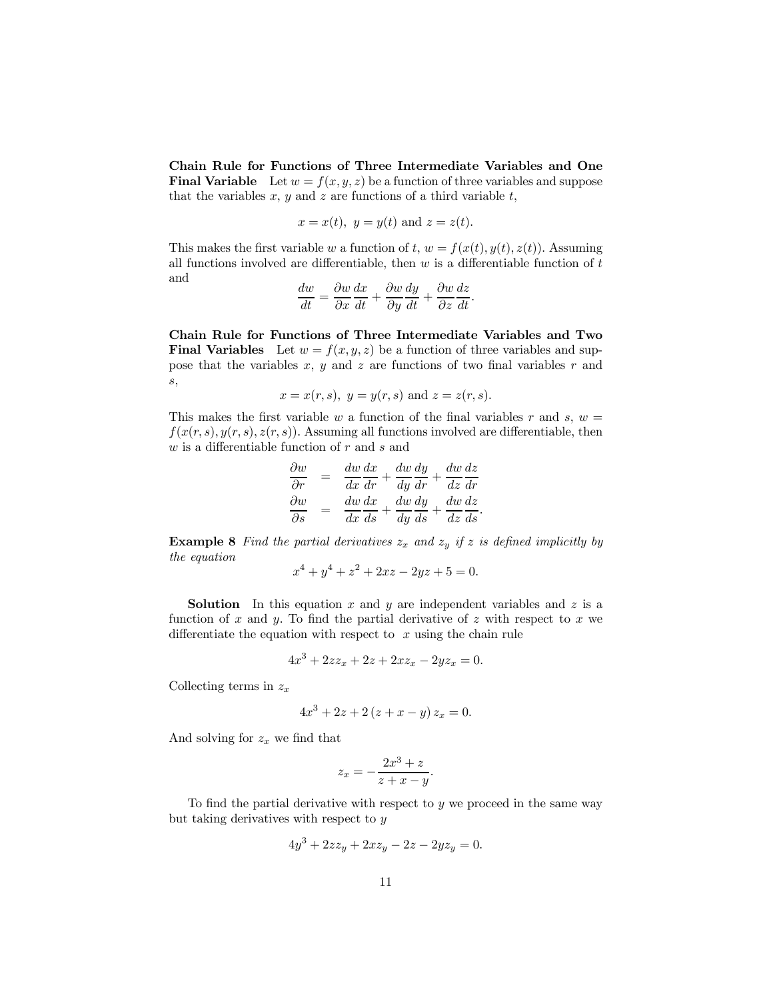Chain Rule for Functions of Three Intermediate Variables and One **Final Variable** Let  $w = f(x, y, z)$  be a function of three variables and suppose that the variables  $x, y$  and  $z$  are functions of a third variable  $t$ ,

$$
x = x(t), y = y(t) \text{ and } z = z(t).
$$

This makes the first variable w a function of t,  $w = f(x(t), y(t), z(t))$ . Assuming all functions involved are differentiable, then  $w$  is a differentiable function of  $t$ and

$$
\frac{dw}{dt} = \frac{\partial w}{\partial x}\frac{dx}{dt} + \frac{\partial w}{\partial y}\frac{dy}{dt} + \frac{\partial w}{\partial z}\frac{dz}{dt}.
$$

Chain Rule for Functions of Three Intermediate Variables and Two **Final Variables** Let  $w = f(x, y, z)$  be a function of three variables and suppose that the variables  $x, y$  and  $z$  are functions of two final variables  $r$  and s,

$$
x = x(r, s), y = y(r, s)
$$
 and  $z = z(r, s)$ .

This makes the first variable w a function of the final variables r and s,  $w =$  $f(x(r, s), y(r, s), z(r, s))$ . Assuming all functions involved are differentiable, then  $w$  is a differentiable function of  $r$  and  $s$  and

$$
\frac{\partial w}{\partial r} = \frac{dw}{dx}\frac{dx}{dr} + \frac{dw}{dy}\frac{dy}{dr} + \frac{dw}{dz}\frac{dz}{dr}
$$

$$
\frac{\partial w}{\partial s} = \frac{dw}{dx}\frac{dx}{ds} + \frac{dw}{dy}\frac{dy}{ds} + \frac{dw}{dz}\frac{dz}{ds}.
$$

**Example 8** Find the partial derivatives  $z_x$  and  $z_y$  if z is defined implicitly by the equation

$$
x^4 + y^4 + z^2 + 2xz - 2yz + 5 = 0.
$$

**Solution** In this equation x and y are independent variables and z is a function of x and y. To find the partial derivative of z with respect to x we differentiate the equation with respect to  $x$  using the chain rule

$$
4x^3 + 2zz_x + 2z + 2xz_x - 2yz_x = 0.
$$

Collecting terms in  $z_x$ 

$$
4x^3 + 2z + 2(z + x - y) z_x = 0.
$$

And solving for  $z_x$  we find that

$$
z_x = -\frac{2x^3 + z}{z + x - y}.
$$

To find the partial derivative with respect to  $y$  we proceed in the same way but taking derivatives with respect to y

$$
4y^3 + 2zz_y + 2xz_y - 2z - 2yz_y = 0.
$$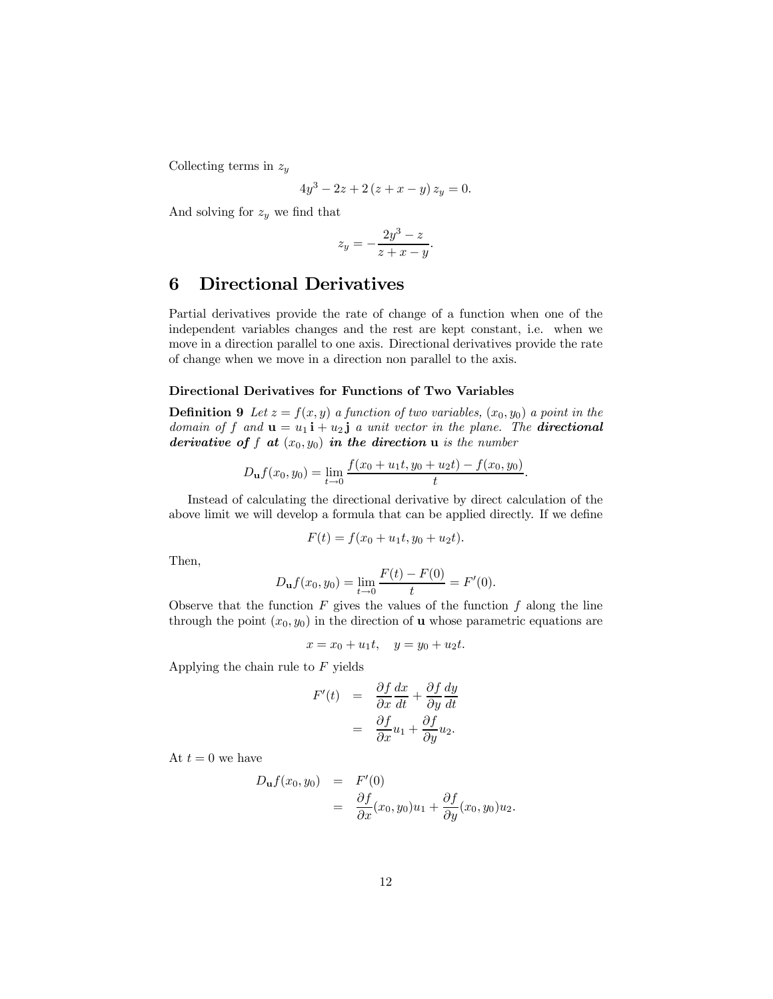Collecting terms in  $z_y$ 

$$
4y^3 - 2z + 2(z + x - y) z_y = 0.
$$

And solving for  $z_y$  we find that

$$
z_y = -\frac{2y^3 - z}{z + x - y}.
$$

### 6 Directional Derivatives

Partial derivatives provide the rate of change of a function when one of the independent variables changes and the rest are kept constant, i.e. when we move in a direction parallel to one axis. Directional derivatives provide the rate of change when we move in a direction non parallel to the axis.

#### Directional Derivatives for Functions of Two Variables

**Definition 9** Let  $z = f(x, y)$  a function of two variables,  $(x_0, y_0)$  a point in the domain of f and  $\mathbf{u} = u_1 \mathbf{i} + u_2 \mathbf{j}$  a unit vector in the plane. The **directional** derivative of f at  $(x_0, y_0)$  in the direction u is the number

$$
D_{\mathbf{u}}f(x_0,y_0) = \lim_{t \to 0} \frac{f(x_0 + u_1t, y_0 + u_2t) - f(x_0, y_0)}{t}.
$$

Instead of calculating the directional derivative by direct calculation of the above limit we will develop a formula that can be applied directly. If we define

$$
F(t) = f(x_0 + u_1t, y_0 + u_2t).
$$

Then,

$$
D_{\mathbf{u}}f(x_0, y_0) = \lim_{t \to 0} \frac{F(t) - F(0)}{t} = F'(0).
$$

Observe that the function  $F$  gives the values of the function  $f$  along the line through the point  $(x_0, y_0)$  in the direction of **u** whose parametric equations are

$$
x = x_0 + u_1 t, \quad y = y_0 + u_2 t.
$$

Applying the chain rule to  $F$  yields

$$
F'(t) = \frac{\partial f}{\partial x}\frac{dx}{dt} + \frac{\partial f}{\partial y}\frac{dy}{dt}
$$

$$
= \frac{\partial f}{\partial x}u_1 + \frac{\partial f}{\partial y}u_2.
$$

At  $t = 0$  we have

$$
D_{\mathbf{u}}f(x_0, y_0) = F'(0)
$$
  
= 
$$
\frac{\partial f}{\partial x}(x_0, y_0)u_1 + \frac{\partial f}{\partial y}(x_0, y_0)u_2.
$$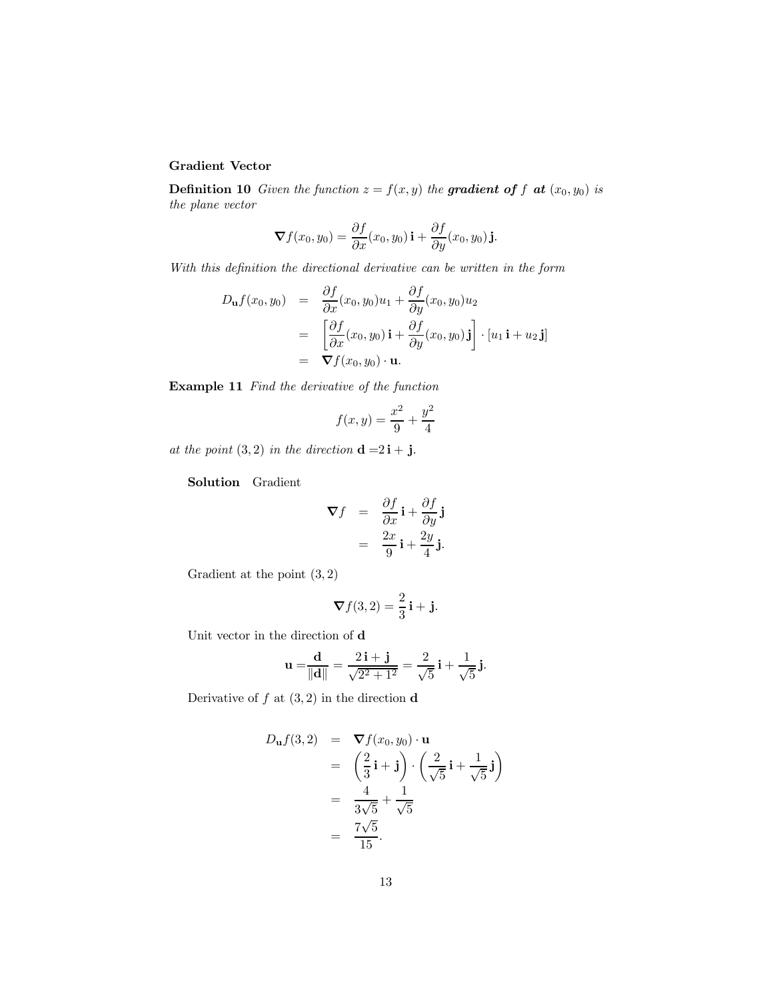### Gradient Vector

**Definition 10** Given the function  $z = f(x, y)$  the **gradient of** f **at**  $(x_0, y_0)$  is the plane vector

$$
\nabla f(x_0, y_0) = \frac{\partial f}{\partial x}(x_0, y_0) \mathbf{i} + \frac{\partial f}{\partial y}(x_0, y_0) \mathbf{j}.
$$

With this definition the directional derivative can be written in the form

$$
D_{\mathbf{u}}f(x_0, y_0) = \frac{\partial f}{\partial x}(x_0, y_0)u_1 + \frac{\partial f}{\partial y}(x_0, y_0)u_2
$$
  
= 
$$
\left[\frac{\partial f}{\partial x}(x_0, y_0)\mathbf{i} + \frac{\partial f}{\partial y}(x_0, y_0)\mathbf{j}\right] \cdot [u_1 \mathbf{i} + u_2 \mathbf{j}]
$$
  
= 
$$
\nabla f(x_0, y_0) \cdot \mathbf{u}.
$$

Example 11 Find the derivative of the function

$$
f(x,y) = \frac{x^2}{9} + \frac{y^2}{4}
$$

at the point  $(3, 2)$  in the direction  $\mathbf{d} = 2\mathbf{i} + \mathbf{j}$ .

Solution Gradient

$$
\nabla f = \frac{\partial f}{\partial x} \mathbf{i} + \frac{\partial f}{\partial y} \mathbf{j} \n= \frac{2x}{9} \mathbf{i} + \frac{2y}{4} \mathbf{j}.
$$

Gradient at the point  $(3, 2)$ 

$$
\nabla f(3,2) = \frac{2}{3}\mathbf{i} + \mathbf{j}.
$$

Unit vector in the direction of d

$$
\mathbf{u} = \frac{\mathbf{d}}{\|\mathbf{d}\|} = \frac{2\,\mathbf{i} + \mathbf{j}}{\sqrt{2^2 + 1^2}} = \frac{2}{\sqrt{5}}\,\mathbf{i} + \frac{1}{\sqrt{5}}\,\mathbf{j}.
$$

Derivative of  $f$  at  $(3, 2)$  in the direction **d** 

$$
D_{\mathbf{u}}f(3,2) = \nabla f(x_0, y_0) \cdot \mathbf{u}
$$
  
\n
$$
= \left(\frac{2}{3}\mathbf{i} + \mathbf{j}\right) \cdot \left(\frac{2}{\sqrt{5}}\mathbf{i} + \frac{1}{\sqrt{5}}\mathbf{j}\right)
$$
  
\n
$$
= \frac{4}{3\sqrt{5}} + \frac{1}{\sqrt{5}}
$$
  
\n
$$
= \frac{7\sqrt{5}}{15}.
$$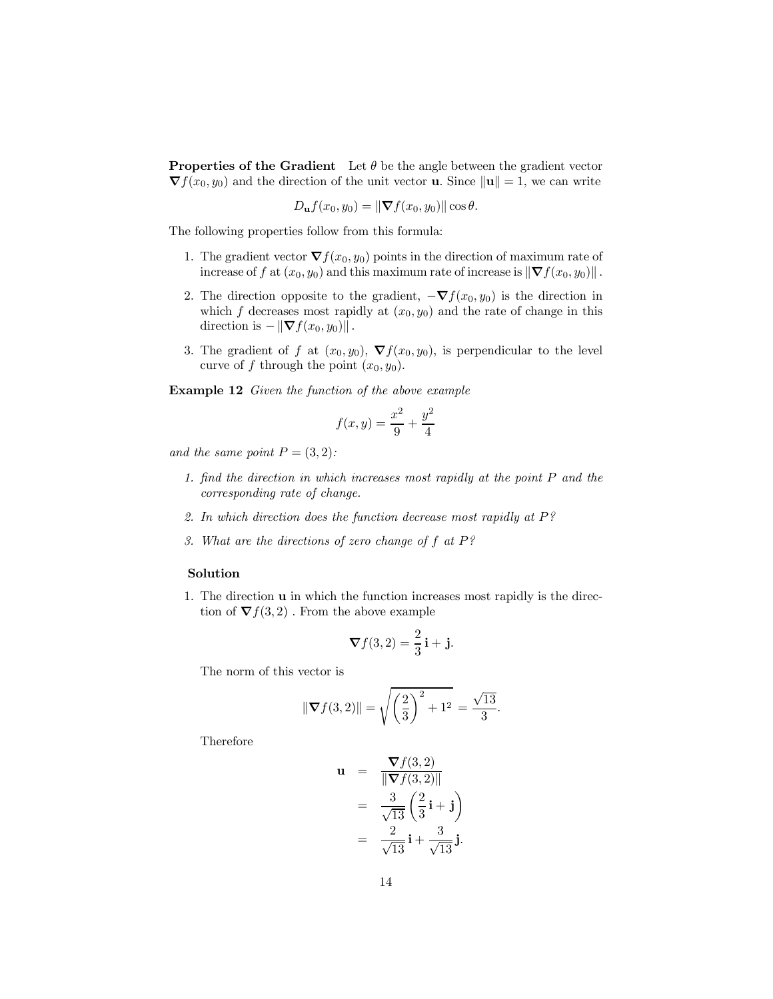**Properties of the Gradient** Let  $\theta$  be the angle between the gradient vector  $\nabla f(x_0, y_0)$  and the direction of the unit vector **u**. Since  $\|\mathbf{u}\| = 1$ , we can write

$$
D_{\mathbf{u}}f(x_0,y_0)=\|\boldsymbol{\nabla}f(x_0,y_0)\|\cos\theta.
$$

The following properties follow from this formula:

- 1. The gradient vector  $\nabla f(x_0, y_0)$  points in the direction of maximum rate of increase of f at  $(x_0, y_0)$  and this maximum rate of increase is  $\|\nabla f(x_0, y_0)\|$ .
- 2. The direction opposite to the gradient,  $-\nabla f(x_0, y_0)$  is the direction in which f decreases most rapidly at  $(x_0, y_0)$  and the rate of change in this direction is  $-\|\nabla f(x_0, y_0)\|$ .
- 3. The gradient of f at  $(x_0, y_0)$ ,  $\nabla f(x_0, y_0)$ , is perpendicular to the level curve of f through the point  $(x_0, y_0)$ .

Example 12 Given the function of the above example

$$
f(x,y) = \frac{x^2}{9} + \frac{y^2}{4}
$$

and the same point  $P = (3, 2)$ :

- 1. find the direction in which increases most rapidly at the point P and the corresponding rate of change.
- 2. In which direction does the function decrease most rapidly at  $P$ ?
- 3. What are the directions of zero change of f at P?

#### Solution

1. The direction u in which the function increases most rapidly is the direction of  $\nabla f(3,2)$ . From the above example

$$
\nabla f(3,2) = \frac{2}{3}\mathbf{i} + \mathbf{j}.
$$

The norm of this vector is

$$
\|\nabla f(3,2)\| = \sqrt{\left(\frac{2}{3}\right)^2 + 1^2} = \frac{\sqrt{13}}{3}.
$$

Therefore

$$
\mathbf{u} = \frac{\nabla f(3,2)}{\|\nabla f(3,2)\|} \n= \frac{3}{\sqrt{13}} \left(\frac{2}{3}\mathbf{i} + \mathbf{j}\right) \n= \frac{2}{\sqrt{13}}\mathbf{i} + \frac{3}{\sqrt{13}}\mathbf{j}.
$$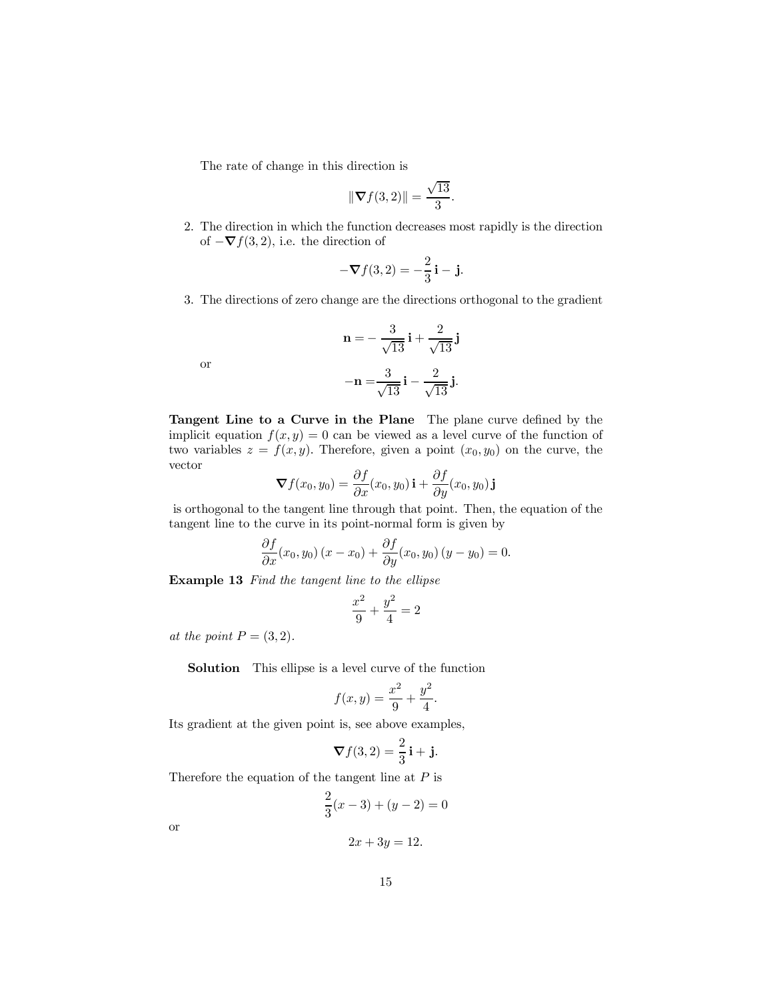The rate of change in this direction is

$$
\|\nabla f(3,2)\| = \frac{\sqrt{13}}{3}.
$$

2. The direction in which the function decreases most rapidly is the direction of  $-\nabla f(3, 2)$ , i.e. the direction of

$$
-\nabla f(3,2) = -\frac{2}{3}\mathbf{i} - \mathbf{j}.
$$

3. The directions of zero change are the directions orthogonal to the gradient

$$
\mathbf{n} = -\frac{3}{\sqrt{13}}\mathbf{i} + \frac{2}{\sqrt{13}}\mathbf{j}
$$

$$
-\mathbf{n} = \frac{3}{\sqrt{13}}\mathbf{i} - \frac{2}{\sqrt{13}}\mathbf{j}.
$$

or

Tangent Line to a Curve in the Plane The plane curve defined by the implicit equation  $f(x, y) = 0$  can be viewed as a level curve of the function of two variables  $z = f(x, y)$ . Therefore, given a point  $(x_0, y_0)$  on the curve, the vector

$$
\boldsymbol{\nabla} f(x_0, y_0) = \frac{\partial f}{\partial x}(x_0, y_0) \mathbf{i} + \frac{\partial f}{\partial y}(x_0, y_0) \mathbf{j}
$$

is orthogonal to the tangent line through that point. Then, the equation of the tangent line to the curve in its point-normal form is given by

$$
\frac{\partial f}{\partial x}(x_0, y_0)(x - x_0) + \frac{\partial f}{\partial y}(x_0, y_0)(y - y_0) = 0.
$$

Example 13 Find the tangent line to the ellipse

$$
\frac{x^2}{9} + \frac{y^2}{4} = 2
$$

at the point  $P = (3, 2)$ .

Solution This ellipse is a level curve of the function

$$
f(x,y) = \frac{x^2}{9} + \frac{y^2}{4}.
$$

Its gradient at the given point is, see above examples,

$$
\nabla f(3,2) = \frac{2}{3}\mathbf{i} + \mathbf{j}.
$$

Therefore the equation of the tangent line at  $P$  is

$$
\frac{2}{3}(x-3) + (y-2) = 0
$$

or

$$
2x + 3y = 12.
$$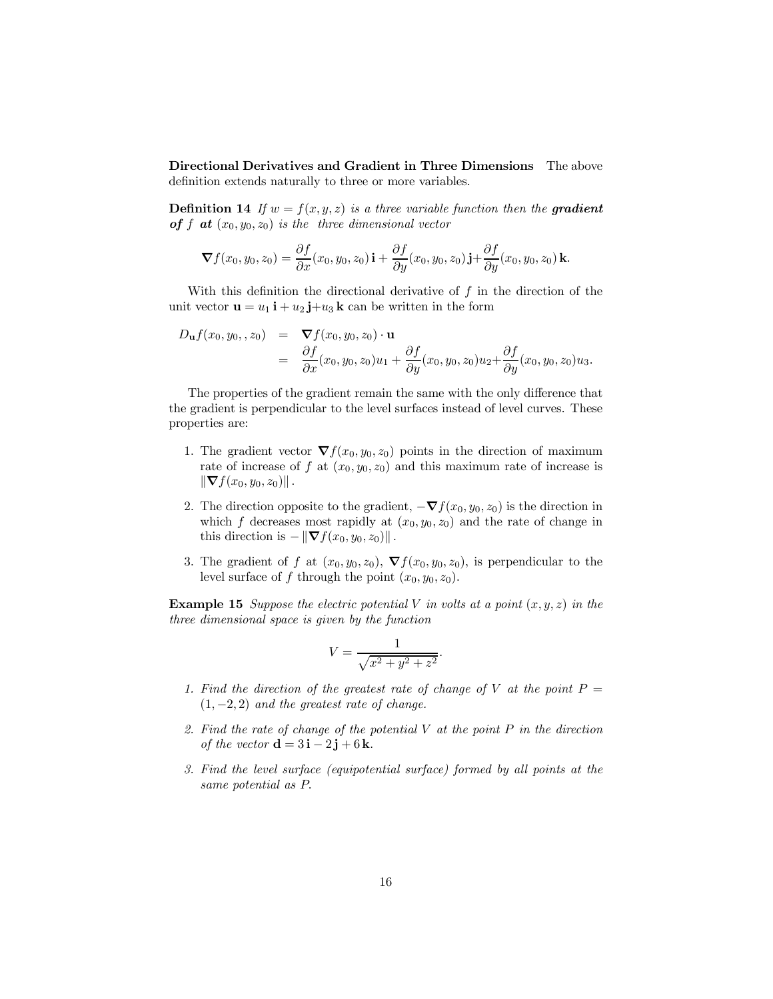Directional Derivatives and Gradient in Three Dimensions The above definition extends naturally to three or more variables.

**Definition 14** If  $w = f(x, y, z)$  is a three variable function then the **gradient** of f at  $(x_0, y_0, z_0)$  is the three dimensional vector

$$
\nabla f(x_0, y_0, z_0) = \frac{\partial f}{\partial x}(x_0, y_0, z_0) \mathbf{i} + \frac{\partial f}{\partial y}(x_0, y_0, z_0) \mathbf{j} + \frac{\partial f}{\partial y}(x_0, y_0, z_0) \mathbf{k}.
$$

With this definition the directional derivative of  $f$  in the direction of the unit vector  $\mathbf{u} = u_1 \mathbf{i} + u_2 \mathbf{j} + u_3 \mathbf{k}$  can be written in the form

$$
D_{\mathbf{u}}f(x_0,y_0, z_0) = \nabla f(x_0,y_0,z_0) \cdot \mathbf{u}
$$
  
\n
$$
= \frac{\partial f}{\partial x}(x_0,y_0,z_0)u_1 + \frac{\partial f}{\partial y}(x_0,y_0,z_0)u_2 + \frac{\partial f}{\partial y}(x_0,y_0,z_0)u_3.
$$

The properties of the gradient remain the same with the only difference that the gradient is perpendicular to the level surfaces instead of level curves. These properties are:

- 1. The gradient vector  $\nabla f(x_0, y_0, z_0)$  points in the direction of maximum rate of increase of f at  $(x_0, y_0, z_0)$  and this maximum rate of increase is  $\|\nabla f(x_0, y_0, z_0)\|.$
- 2. The direction opposite to the gradient,  $-\nabla f(x_0, y_0, z_0)$  is the direction in which f decreases most rapidly at  $(x_0, y_0, z_0)$  and the rate of change in this direction is  $-\|\nabla f(x_0, y_0, z_0)\|$ .
- 3. The gradient of f at  $(x_0, y_0, z_0)$ ,  $\nabla f(x_0, y_0, z_0)$ , is perpendicular to the level surface of f through the point  $(x_0, y_0, z_0)$ .

**Example 15** Suppose the electric potential V in volts at a point  $(x, y, z)$  in the three dimensional space is given by the function

$$
V = \frac{1}{\sqrt{x^2 + y^2 + z^2}}.
$$

- 1. Find the direction of the greatest rate of change of V at the point  $P =$  $(1, -2, 2)$  and the greatest rate of change.
- 2. Find the rate of change of the potential  $V$  at the point  $P$  in the direction of the vector  $\mathbf{d} = 3\mathbf{i} - 2\mathbf{j} + 6\mathbf{k}$ .
- 3. Find the level surface (equipotential surface) formed by all points at the same potential as P.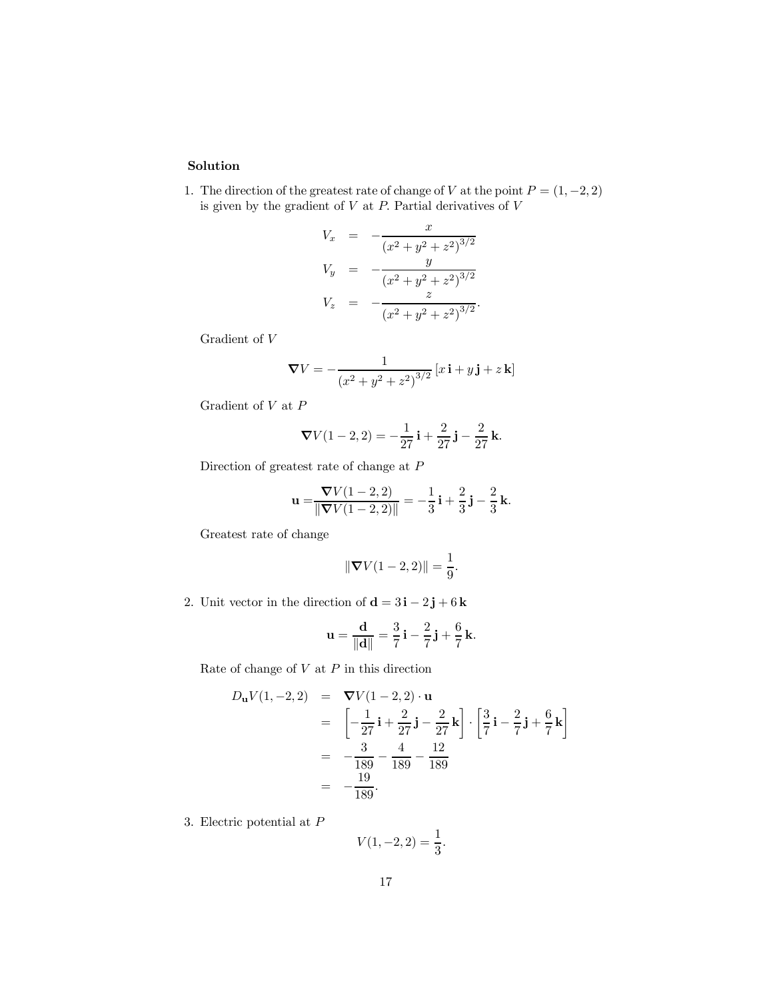### Solution

1. The direction of the greatest rate of change of V at the point  $P = (1, -2, 2)$ is given by the gradient of  $V$  at  $P$ . Partial derivatives of  $V$ 

$$
V_x = -\frac{x}{(x^2 + y^2 + z^2)^{3/2}}
$$
  
\n
$$
V_y = -\frac{y}{(x^2 + y^2 + z^2)^{3/2}}
$$
  
\n
$$
V_z = -\frac{z}{(x^2 + y^2 + z^2)^{3/2}}.
$$

Gradient of V

$$
\nabla V = -\frac{1}{\left(x^2 + y^2 + z^2\right)^{3/2}} \left[x\,\mathbf{i} + y\,\mathbf{j} + z\,\mathbf{k}\right]
$$

Gradient of V at P

$$
\nabla V(1-2,2) = -\frac{1}{27}\mathbf{i} + \frac{2}{27}\mathbf{j} - \frac{2}{27}\mathbf{k}.
$$

Direction of greatest rate of change at P

$$
\mathbf{u} = \frac{\nabla V(1-2,2)}{\|\nabla V(1-2,2)\|} = -\frac{1}{3}\mathbf{i} + \frac{2}{3}\mathbf{j} - \frac{2}{3}\mathbf{k}.
$$

Greatest rate of change

$$
\|\nabla V(1-2,2)\| = \frac{1}{9}.
$$

2. Unit vector in the direction of  $\mathbf{d} = 3\mathbf{i} - 2\mathbf{j} + 6\mathbf{k}$ 

$$
\mathbf{u} = \frac{\mathbf{d}}{\|\mathbf{d}\|} = \frac{3}{7}\mathbf{i} - \frac{2}{7}\mathbf{j} + \frac{6}{7}\mathbf{k}.
$$

Rate of change of  $V$  at  $P$  in this direction

$$
D_{\mathbf{u}}V(1, -2, 2) = \nabla V(1 - 2, 2) \cdot \mathbf{u}
$$
  
\n
$$
= \left[ -\frac{1}{27} \mathbf{i} + \frac{2}{27} \mathbf{j} - \frac{2}{27} \mathbf{k} \right] \cdot \left[ \frac{3}{7} \mathbf{i} - \frac{2}{7} \mathbf{j} + \frac{6}{7} \mathbf{k} \right]
$$
  
\n
$$
= -\frac{3}{189} - \frac{4}{189} - \frac{12}{189}
$$
  
\n
$$
= -\frac{19}{189}.
$$

3. Electric potential at P

$$
V(1, -2, 2) = \frac{1}{3}.
$$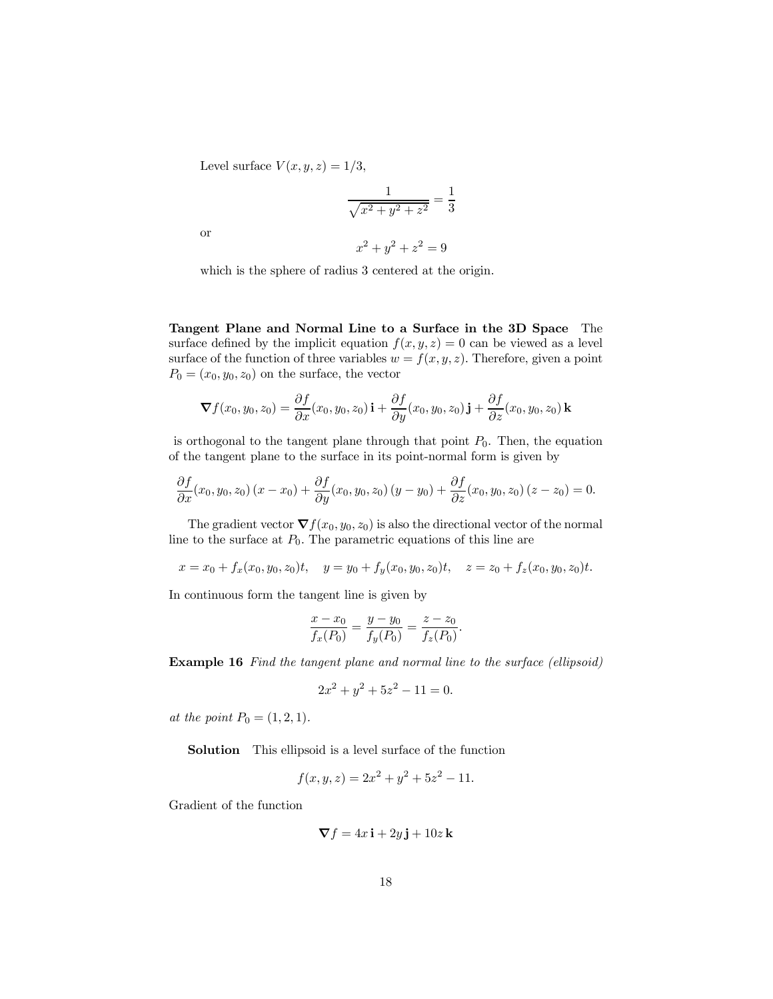Level surface  $V(x, y, z)=1/3$ ,

$$
\frac{1}{\sqrt{x^2 + y^2 + z^2}} = \frac{1}{3}
$$

or

$$
x^2 + y^2 + z^2 = 9
$$

which is the sphere of radius 3 centered at the origin.

Tangent Plane and Normal Line to a Surface in the 3D Space The surface defined by the implicit equation  $f(x, y, z)=0$  can be viewed as a level surface of the function of three variables  $w = f(x, y, z)$ . Therefore, given a point  $P_0 = (x_0, y_0, z_0)$  on the surface, the vector

$$
\nabla f(x_0, y_0, z_0) = \frac{\partial f}{\partial x}(x_0, y_0, z_0) \mathbf{i} + \frac{\partial f}{\partial y}(x_0, y_0, z_0) \mathbf{j} + \frac{\partial f}{\partial z}(x_0, y_0, z_0) \mathbf{k}
$$

is orthogonal to the tangent plane through that point  $P_0$ . Then, the equation of the tangent plane to the surface in its point-normal form is given by

$$
\frac{\partial f}{\partial x}(x_0, y_0, z_0)(x - x_0) + \frac{\partial f}{\partial y}(x_0, y_0, z_0)(y - y_0) + \frac{\partial f}{\partial z}(x_0, y_0, z_0)(z - z_0) = 0.
$$

The gradient vector  $\nabla f(x_0, y_0, z_0)$  is also the directional vector of the normal line to the surface at  $P_0$ . The parametric equations of this line are

$$
x = x_0 + f_x(x_0, y_0, z_0)t, \quad y = y_0 + f_y(x_0, y_0, z_0)t, \quad z = z_0 + f_z(x_0, y_0, z_0)t.
$$

In continuous form the tangent line is given by

$$
\frac{x - x_0}{f_x(P_0)} = \frac{y - y_0}{f_y(P_0)} = \frac{z - z_0}{f_z(P_0)}
$$

.

Example 16 Find the tangent plane and normal line to the surface (ellipsoid)

$$
2x^2 + y^2 + 5z^2 - 11 = 0.
$$

at the point  $P_0 = (1, 2, 1)$ .

Solution This ellipsoid is a level surface of the function

$$
f(x, y, z) = 2x^2 + y^2 + 5z^2 - 11.
$$

Gradient of the function

$$
\nabla f = 4x \mathbf{i} + 2y \mathbf{j} + 10z \mathbf{k}
$$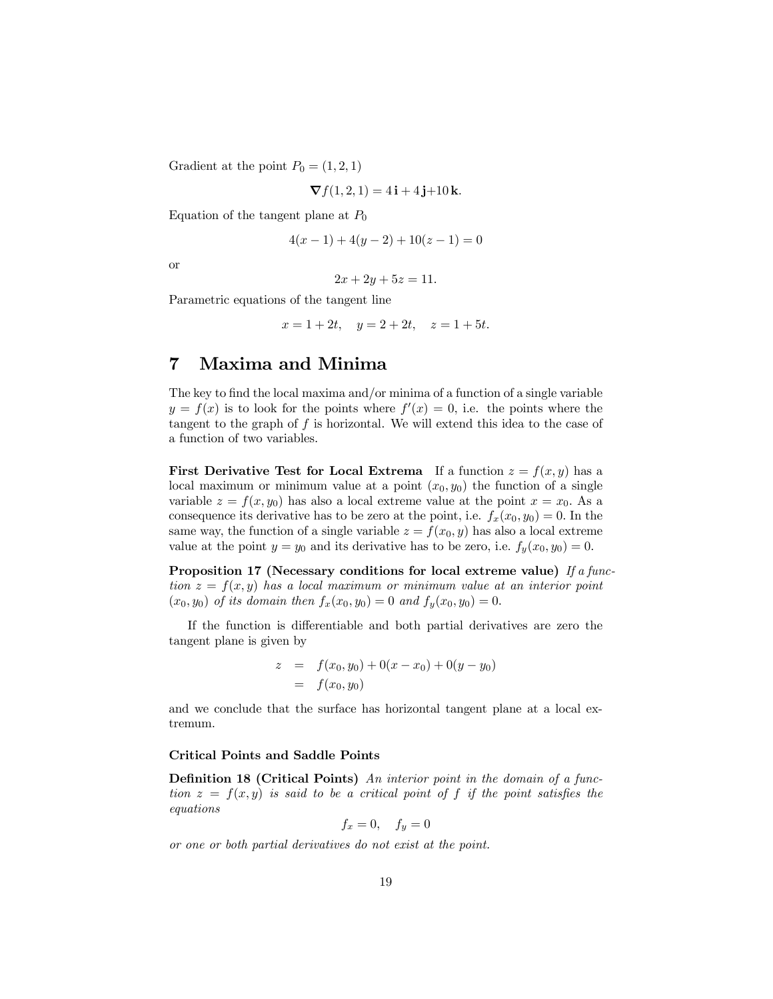Gradient at the point  $P_0 = (1, 2, 1)$ 

$$
\nabla f(1,2,1) = 4\mathbf{i} + 4\mathbf{j} + 10\mathbf{k}.
$$

Equation of the tangent plane at  $P_0$ 

$$
4(x - 1) + 4(y - 2) + 10(z - 1) = 0
$$

or

$$
2x + 2y + 5z = 11.
$$

Parametric equations of the tangent line

$$
x = 1 + 2t
$$
,  $y = 2 + 2t$ ,  $z = 1 + 5t$ .

# 7 Maxima and Minima

The key to find the local maxima and/or minima of a function of a single variable  $y = f(x)$  is to look for the points where  $f'(x) = 0$ , i.e. the points where the tangent to the graph of  $f$  is horizontal. We will extend this idea to the case of a function of two variables.

**First Derivative Test for Local Extrema** If a function  $z = f(x, y)$  has a local maximum or minimum value at a point  $(x_0, y_0)$  the function of a single variable  $z = f(x, y_0)$  has also a local extreme value at the point  $x = x_0$ . As a consequence its derivative has to be zero at the point, i.e.  $f_x(x_0, y_0)=0$ . In the same way, the function of a single variable  $z = f(x_0, y)$  has also a local extreme value at the point  $y = y_0$  and its derivative has to be zero, i.e.  $f_y(x_0, y_0) = 0$ .

Proposition 17 (Necessary conditions for local extreme value) If a function  $z = f(x, y)$  has a local maximum or minimum value at an interior point  $(x_0, y_0)$  of its domain then  $f_x(x_0, y_0)=0$  and  $f_y(x_0, y_0)=0$ .

If the function is differentiable and both partial derivatives are zero the tangent plane is given by

$$
z = f(x_0, y_0) + 0(x - x_0) + 0(y - y_0)
$$
  
= f(x\_0, y\_0)

and we conclude that the surface has horizontal tangent plane at a local extremum.

#### Critical Points and Saddle Points

Definition 18 (Critical Points) An interior point in the domain of a function  $z = f(x, y)$  is said to be a critical point of f if the point satisfies the equations

$$
f_x = 0, \quad f_y = 0
$$

or one or both partial derivatives do not exist at the point.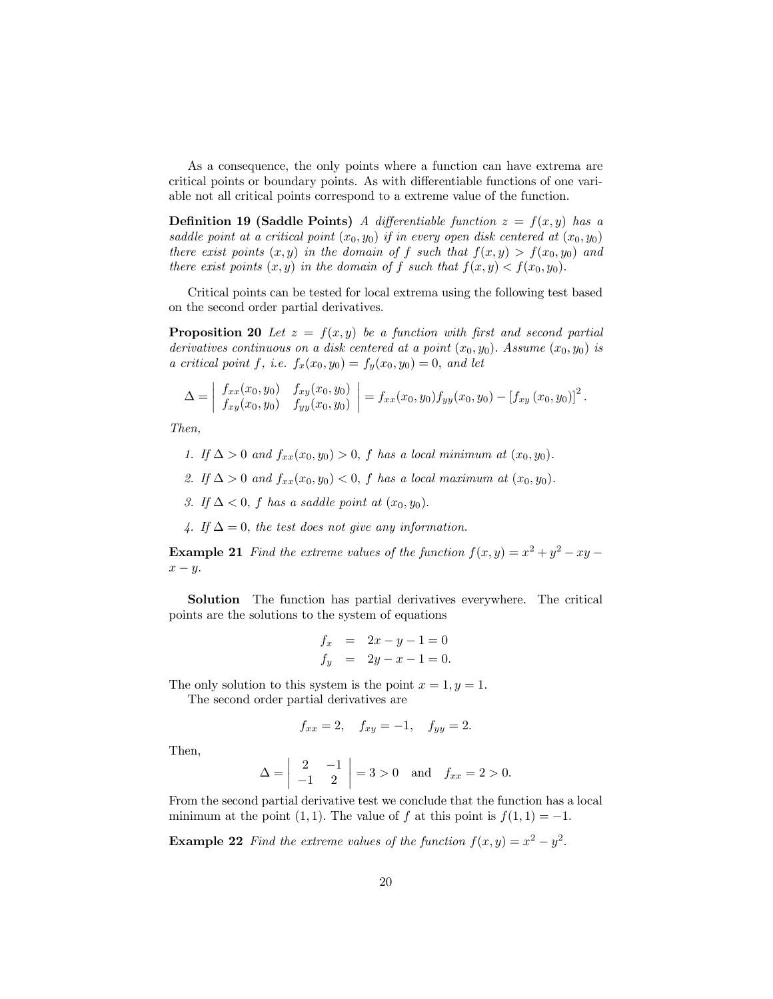As a consequence, the only points where a function can have extrema are critical points or boundary points. As with differentiable functions of one variable not all critical points correspond to a extreme value of the function.

**Definition 19 (Saddle Points)** A differentiable function  $z = f(x, y)$  has a saddle point at a critical point  $(x_0, y_0)$  if in every open disk centered at  $(x_0, y_0)$ there exist points  $(x, y)$  in the domain of f such that  $f(x, y) > f(x_0, y_0)$  and there exist points  $(x, y)$  in the domain of f such that  $f(x, y) < f(x_0, y_0)$ .

Critical points can be tested for local extrema using the following test based on the second order partial derivatives.

**Proposition 20** Let  $z = f(x, y)$  be a function with first and second partial derivatives continuous on a disk centered at a point  $(x_0, y_0)$ . Assume  $(x_0, y_0)$  is a critical point f, i.e.  $f_x(x_0, y_0) = f_y(x_0, y_0) = 0$ , and let

$$
\Delta = \begin{vmatrix} f_{xx}(x_0, y_0) & f_{xy}(x_0, y_0) \ f_{xy}(x_0, y_0) & f_{yy}(x_0, y_0) \end{vmatrix} = f_{xx}(x_0, y_0) f_{yy}(x_0, y_0) - [f_{xy}(x_0, y_0)]^2.
$$

Then,

- 1. If  $\Delta > 0$  and  $f_{xx}(x_0, y_0) > 0$ , f has a local minimum at  $(x_0, y_0)$ .
- 2. If  $\Delta > 0$  and  $f_{xx}(x_0, y_0) < 0$ , f has a local maximum at  $(x_0, y_0)$ .
- 3. If  $\Delta < 0$ , f has a saddle point at  $(x_0, y_0)$ .
- 4. If  $\Delta = 0$ , the test does not give any information.

**Example 21** Find the extreme values of the function  $f(x, y) = x^2 + y^2 - xy$  $x - y$ .

Solution The function has partial derivatives everywhere. The critical points are the solutions to the system of equations

$$
f_x = 2x - y - 1 = 0
$$
  
\n
$$
f_y = 2y - x - 1 = 0.
$$

The only solution to this system is the point  $x = 1, y = 1$ . The second order partial derivatives are

$$
f_{xx} = 2
$$
,  $f_{xy} = -1$ ,  $f_{yy} = 2$ .

Then,

$$
\Delta = \begin{vmatrix} 2 & -1 \\ -1 & 2 \end{vmatrix} = 3 > 0 \text{ and } f_{xx} = 2 > 0.
$$

From the second partial derivative test we conclude that the function has a local minimum at the point (1, 1). The value of f at this point is  $f(1, 1) = -1$ .

**Example 22** Find the extreme values of the function  $f(x, y) = x^2 - y^2$ .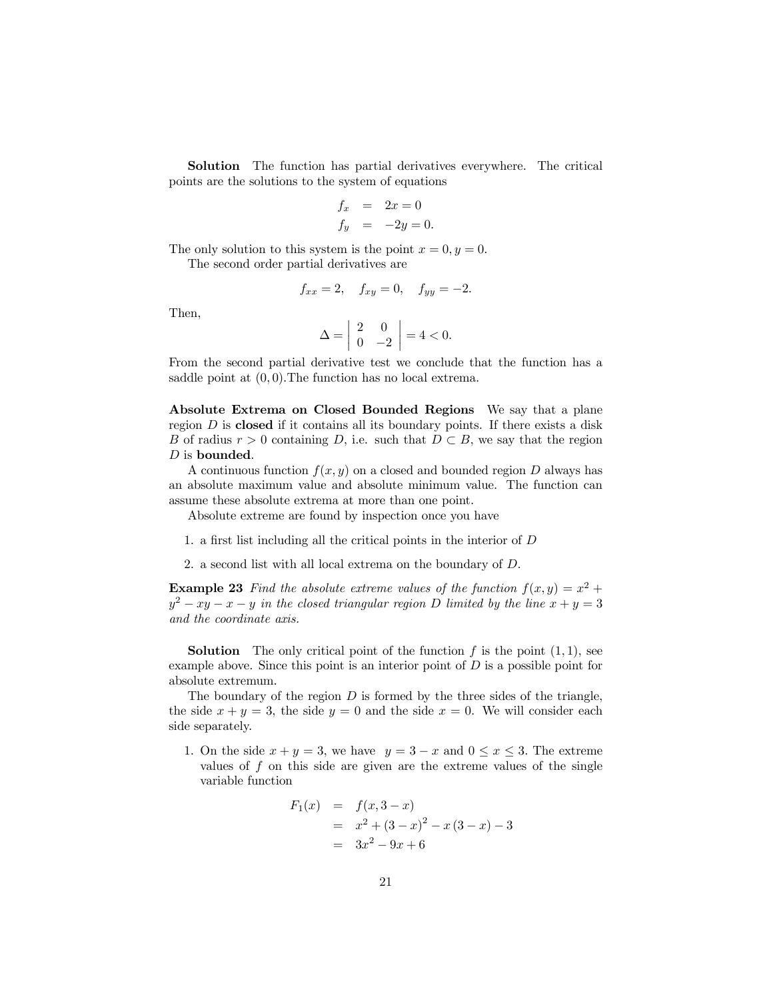Solution The function has partial derivatives everywhere. The critical points are the solutions to the system of equations

$$
f_x = 2x = 0
$$
  

$$
f_y = -2y = 0.
$$

The only solution to this system is the point  $x = 0, y = 0$ . The second order partial derivatives are

$$
f_{xx} = 2
$$
,  $f_{xy} = 0$ ,  $f_{yy} = -2$ .

Then,

$$
\Delta = \begin{vmatrix} 2 & 0 \\ 0 & -2 \end{vmatrix} = 4 < 0.
$$

From the second partial derivative test we conclude that the function has a saddle point at  $(0, 0)$ . The function has no local extrema.

Absolute Extrema on Closed Bounded Regions We say that a plane region  $D$  is closed if it contains all its boundary points. If there exists a disk B of radius  $r > 0$  containing D, i.e. such that  $D \subset B$ , we say that the region  $D$  is bounded.

A continuous function  $f(x, y)$  on a closed and bounded region D always has an absolute maximum value and absolute minimum value. The function can assume these absolute extrema at more than one point.

Absolute extreme are found by inspection once you have

- 1. a first list including all the critical points in the interior of D
- 2. a second list with all local extrema on the boundary of D.

**Example 23** Find the absolute extreme values of the function  $f(x, y) = x^2 + y^2$  $y^{2} - xy - x - y$  in the closed triangular region D limited by the line  $x + y = 3$ and the coordinate axis.

**Solution** The only critical point of the function  $f$  is the point  $(1, 1)$ , see example above. Since this point is an interior point of  $D$  is a possible point for absolute extremum.

The boundary of the region  $D$  is formed by the three sides of the triangle, the side  $x + y = 3$ , the side  $y = 0$  and the side  $x = 0$ . We will consider each side separately.

1. On the side  $x + y = 3$ , we have  $y = 3 - x$  and  $0 \le x \le 3$ . The extreme values of  $f$  on this side are given are the extreme values of the single variable function

$$
F_1(x) = f(x, 3-x)
$$
  
=  $x^2 + (3-x)^2 - x(3-x) - 3$   
=  $3x^2 - 9x + 6$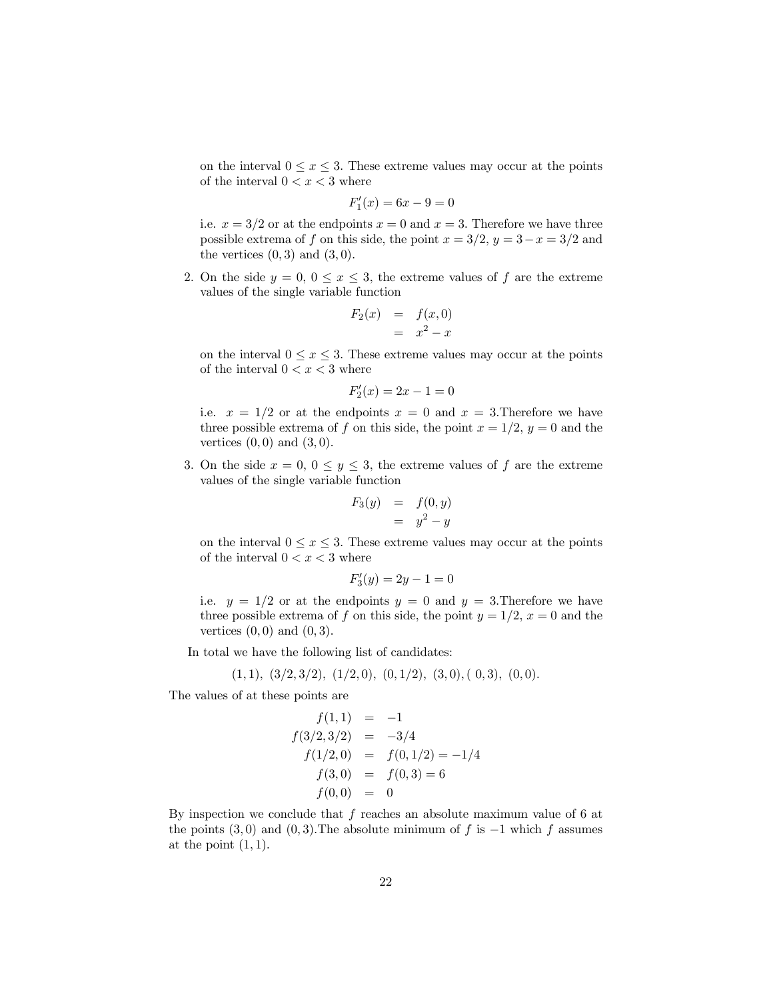on the interval  $0 \le x \le 3$ . These extreme values may occur at the points of the interval  $0 < x < 3$  where

$$
F_1'(x) = 6x - 9 = 0
$$

i.e.  $x = 3/2$  or at the endpoints  $x = 0$  and  $x = 3$ . Therefore we have three possible extrema of f on this side, the point  $x = 3/2$ ,  $y = 3-x = 3/2$  and the vertices  $(0, 3)$  and  $(3, 0)$ .

2. On the side  $y = 0, 0 \le x \le 3$ , the extreme values of f are the extreme values of the single variable function

$$
F_2(x) = f(x,0)
$$
  
= 
$$
x^2 - x
$$

on the interval  $0 \le x \le 3$ . These extreme values may occur at the points of the interval  $0 < x < 3$  where

$$
F_2'(x) = 2x - 1 = 0
$$

i.e.  $x = 1/2$  or at the endpoints  $x = 0$  and  $x = 3$ . Therefore we have three possible extrema of f on this side, the point  $x = 1/2$ ,  $y = 0$  and the vertices  $(0,0)$  and  $(3,0)$ .

3. On the side  $x = 0, 0 \le y \le 3$ , the extreme values of f are the extreme values of the single variable function

$$
F_3(y) = f(0, y)
$$
  
=  $y^2 - y$ 

on the interval  $0 \le x \le 3$ . These extreme values may occur at the points of the interval  $0 < x < 3$  where

$$
F_3'(y) = 2y - 1 = 0
$$

i.e.  $y = 1/2$  or at the endpoints  $y = 0$  and  $y = 3$ . Therefore we have three possible extrema of f on this side, the point  $y = 1/2$ ,  $x = 0$  and the vertices  $(0,0)$  and  $(0,3)$ .

In total we have the following list of candidates:

$$
(1,1), (3/2,3/2), (1/2,0), (0,1/2), (3,0), (0,3), (0,0).
$$

The values of at these points are

$$
f(1,1) = -1
$$
  
\n
$$
f(3/2,3/2) = -3/4
$$
  
\n
$$
f(1/2,0) = f(0,1/2) = -1/4
$$
  
\n
$$
f(3,0) = f(0,3) = 6
$$
  
\n
$$
f(0,0) = 0
$$

By inspection we conclude that  $f$  reaches an absolute maximum value of 6 at the points  $(3,0)$  and  $(0,3)$ . The absolute minimum of f is  $-1$  which f assumes at the point  $(1, 1)$ .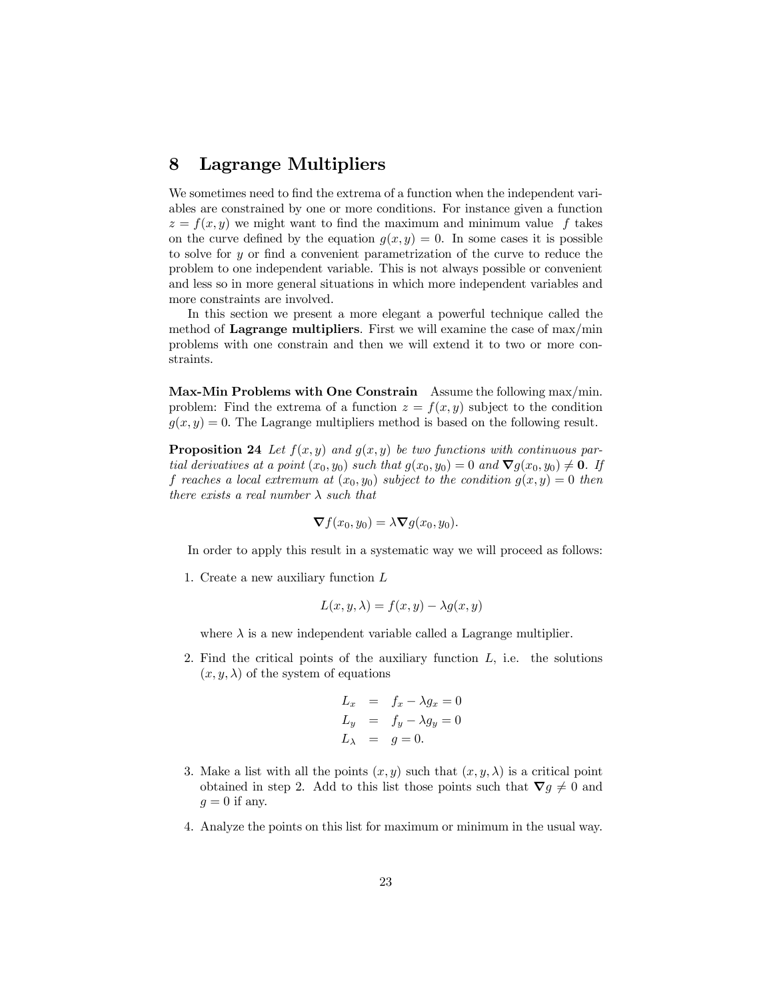## 8 Lagrange Multipliers

We sometimes need to find the extrema of a function when the independent variables are constrained by one or more conditions. For instance given a function  $z = f(x, y)$  we might want to find the maximum and minimum value f takes on the curve defined by the equation  $g(x, y)=0$ . In some cases it is possible to solve for y or find a convenient parametrization of the curve to reduce the problem to one independent variable. This is not always possible or convenient and less so in more general situations in which more independent variables and more constraints are involved.

In this section we present a more elegant a powerful technique called the method of Lagrange multipliers. First we will examine the case of max/min problems with one constrain and then we will extend it to two or more constraints.

Max-Min Problems with One Constrain Assume the following max/min. problem: Find the extrema of a function  $z = f(x, y)$  subject to the condition  $g(x, y) = 0$ . The Lagrange multipliers method is based on the following result.

**Proposition 24** Let  $f(x, y)$  and  $g(x, y)$  be two functions with continuous partial derivatives at a point  $(x_0, y_0)$  such that  $g(x_0, y_0) = 0$  and  $\nabla g(x_0, y_0) \neq \mathbf{0}$ . If f reaches a local extremum at  $(x_0, y_0)$  subject to the condition  $g(x, y)=0$  then there exists a real number  $\lambda$  such that

$$
\nabla f(x_0, y_0) = \lambda \nabla g(x_0, y_0).
$$

In order to apply this result in a systematic way we will proceed as follows:

1. Create a new auxiliary function L

$$
L(x, y, \lambda) = f(x, y) - \lambda g(x, y)
$$

where  $\lambda$  is a new independent variable called a Lagrange multiplier.

2. Find the critical points of the auxiliary function  $L$ , i.e. the solutions  $(x, y, \lambda)$  of the system of equations

$$
L_x = f_x - \lambda g_x = 0
$$
  
\n
$$
L_y = f_y - \lambda g_y = 0
$$
  
\n
$$
L_\lambda = g = 0.
$$

- 3. Make a list with all the points  $(x, y)$  such that  $(x, y, \lambda)$  is a critical point obtained in step 2. Add to this list those points such that  $\nabla g \neq 0$  and  $q=0$  if any.
- 4. Analyze the points on this list for maximum or minimum in the usual way.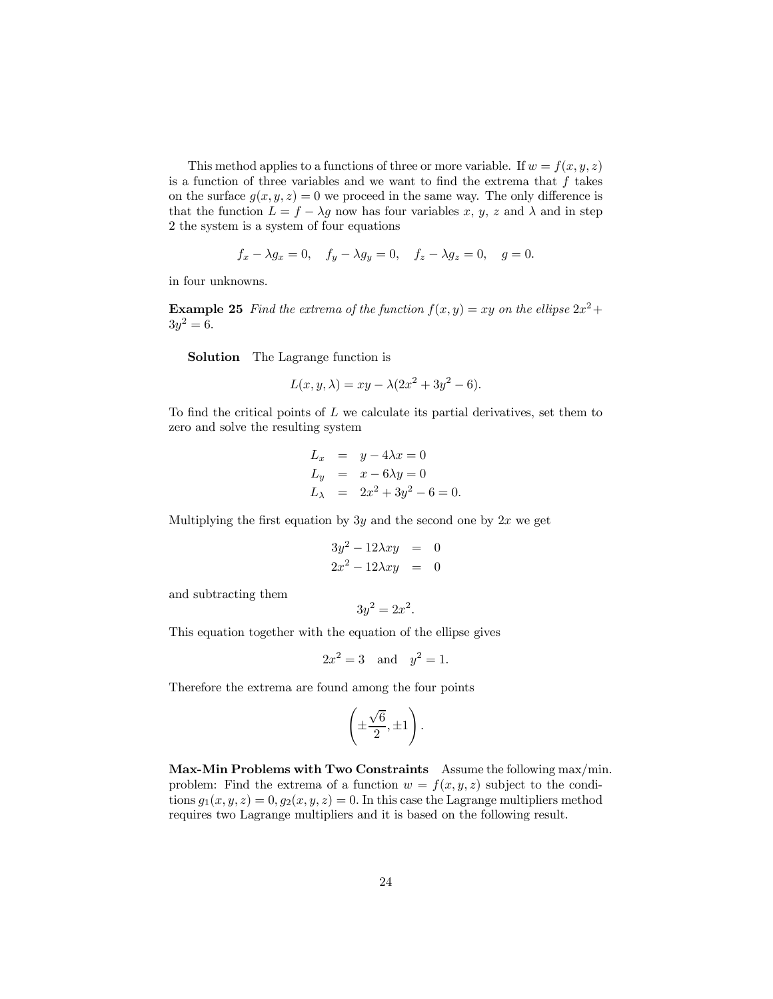This method applies to a functions of three or more variable. If  $w = f(x, y, z)$ is a function of three variables and we want to find the extrema that  $f$  takes on the surface  $g(x, y, z)=0$  we proceed in the same way. The only difference is that the function  $L = f - \lambda g$  now has four variables x, y, z and  $\lambda$  and in step 2 the system is a system of four equations

$$
f_x - \lambda g_x = 0
$$
,  $f_y - \lambda g_y = 0$ ,  $f_z - \lambda g_z = 0$ ,  $g = 0$ .

in four unknowns.

**Example 25** Find the extrema of the function  $f(x, y) = xy$  on the ellipse  $2x^2 + y^2 = 1$  $3y^2 = 6$ .

Solution The Lagrange function is

$$
L(x, y, \lambda) = xy - \lambda(2x^2 + 3y^2 - 6).
$$

To find the critical points of L we calculate its partial derivatives, set them to zero and solve the resulting system

$$
L_x = y - 4\lambda x = 0
$$
  
\n
$$
L_y = x - 6\lambda y = 0
$$
  
\n
$$
L_\lambda = 2x^2 + 3y^2 - 6 = 0.
$$

Multiplying the first equation by  $3y$  and the second one by  $2x$  we get

$$
3y^2 - 12\lambda xy = 0
$$
  

$$
2x^2 - 12\lambda xy = 0
$$

and subtracting them

$$
3y^2 = 2x^2.
$$

This equation together with the equation of the ellipse gives

$$
2x^2 = 3 \quad \text{and} \quad y^2 = 1.
$$

Therefore the extrema are found among the four points

$$
\left(\pm \frac{\sqrt{6}}{2},\pm 1\right).
$$

Max-Min Problems with Two Constraints Assume the following max/min. problem: Find the extrema of a function  $w = f(x, y, z)$  subject to the conditions  $g_1(x, y, z)=0, g_2(x, y, z)=0$ . In this case the Lagrange multipliers method requires two Lagrange multipliers and it is based on the following result.